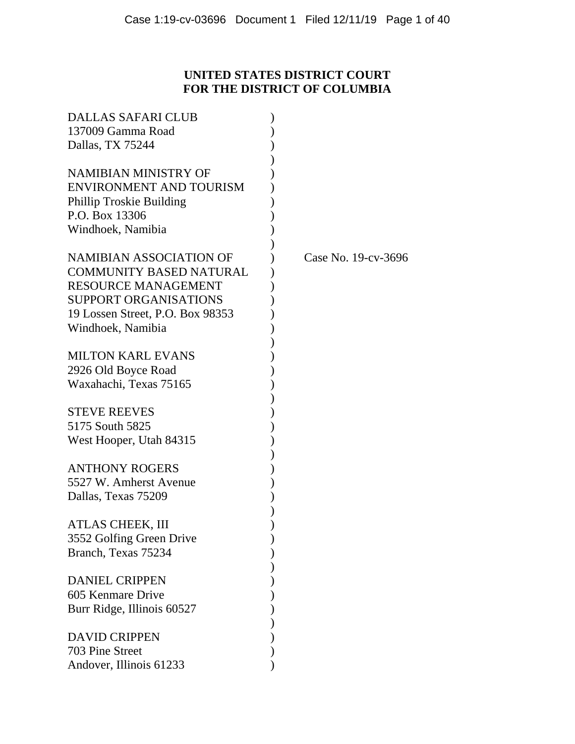# **UNITED STATES DISTRICT COURT FOR THE DISTRICT OF COLUMBIA**

| <b>DALLAS SAFARI CLUB</b>        |                     |
|----------------------------------|---------------------|
| 137009 Gamma Road                |                     |
| Dallas, TX 75244                 |                     |
|                                  |                     |
| NAMIBIAN MINISTRY OF             |                     |
| <b>ENVIRONMENT AND TOURISM</b>   |                     |
| Phillip Troskie Building         |                     |
| P.O. Box 13306                   |                     |
| Windhoek, Namibia                |                     |
|                                  |                     |
| <b>NAMIBIAN ASSOCIATION OF</b>   | Case No. 19-cv-3696 |
| <b>COMMUNITY BASED NATURAL</b>   |                     |
| <b>RESOURCE MANAGEMENT</b>       |                     |
| <b>SUPPORT ORGANISATIONS</b>     |                     |
| 19 Lossen Street, P.O. Box 98353 |                     |
| Windhoek, Namibia                |                     |
|                                  |                     |
| <b>MILTON KARL EVANS</b>         |                     |
| 2926 Old Boyce Road              |                     |
| Waxahachi, Texas 75165           |                     |
|                                  |                     |
| <b>STEVE REEVES</b>              |                     |
| 5175 South 5825                  |                     |
| West Hooper, Utah 84315          |                     |
|                                  |                     |
| <b>ANTHONY ROGERS</b>            |                     |
| 5527 W. Amherst Avenue           |                     |
| Dallas, Texas 75209              |                     |
|                                  |                     |
| ATLAS CHEEK, III                 |                     |
| 3552 Golfing Green Drive         |                     |
| Branch, Texas 75234              |                     |
|                                  |                     |
| <b>DANIEL CRIPPEN</b>            |                     |
| 605 Kenmare Drive                |                     |
| Burr Ridge, Illinois 60527       |                     |
|                                  |                     |
| <b>DAVID CRIPPEN</b>             |                     |
| 703 Pine Street                  |                     |
| Andover, Illinois 61233          |                     |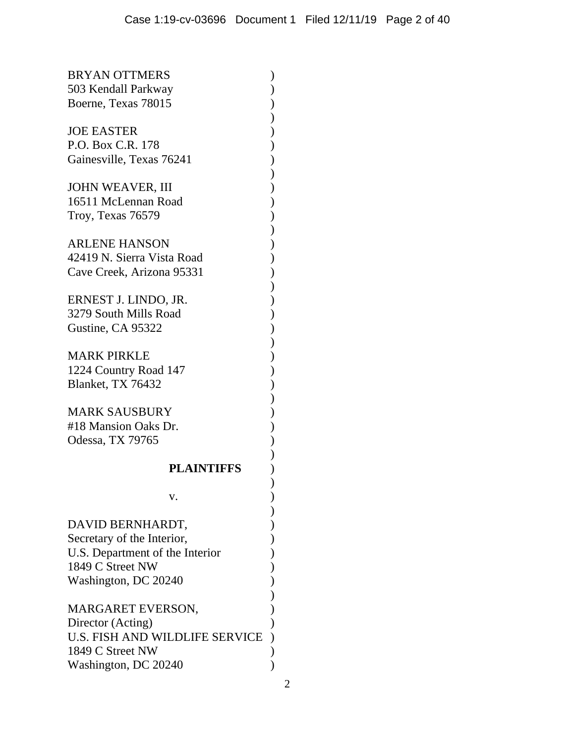| <b>BRYAN OTTMERS</b><br>503 Kendall Parkway<br>Boerne, Texas 78015                                                            |                      |
|-------------------------------------------------------------------------------------------------------------------------------|----------------------|
| <b>JOE EASTER</b><br>P.O. Box C.R. 178<br>Gainesville, Texas 76241                                                            | ソンソンソンソンソンソンソンソンソンソン |
| <b>JOHN WEAVER, III</b><br>16511 McLennan Road<br>Troy, Texas 76579                                                           |                      |
| <b>ARLENE HANSON</b><br>42419 N. Sierra Vista Road<br>Cave Creek, Arizona 95331                                               |                      |
| ERNEST J. LINDO, JR.<br>3279 South Mills Road<br>Gustine, CA 95322                                                            |                      |
| <b>MARK PIRKLE</b><br>1224 Country Road 147<br>Blanket, TX 76432                                                              |                      |
| <b>MARK SAUSBURY</b><br>#18 Mansion Oaks Dr.<br>Odessa, TX 79765                                                              |                      |
| <b>PLAINTIFFS</b>                                                                                                             |                      |
| v.                                                                                                                            |                      |
| DAVID BERNHARDT,<br>Secretary of the Interior,<br>U.S. Department of the Interior<br>1849 C Street NW<br>Washington, DC 20240 |                      |
| MARGARET EVERSON,<br>Director (Acting)<br>U.S. FISH AND WILDLIFE SERVICE<br>1849 C Street NW<br>Washington, DC 20240          | リ))))                |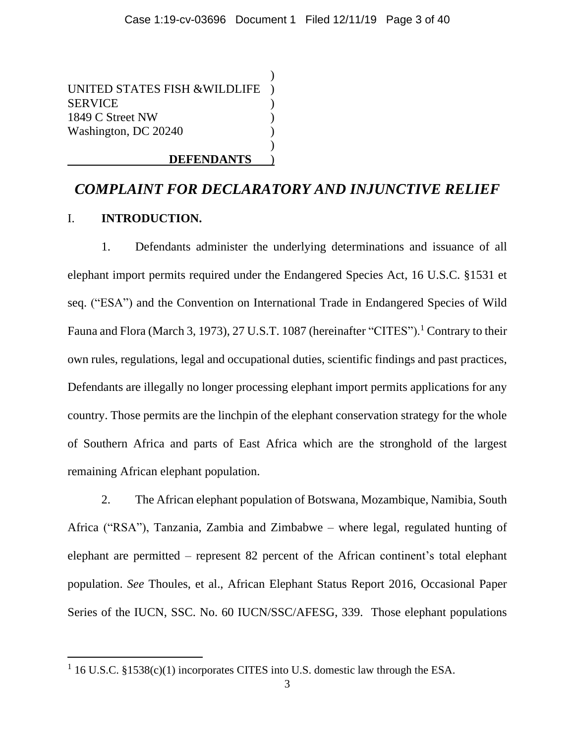)

)

UNITED STATES FISH &WILDLIFE ) **SERVICE** 1849 C Street NW ) Washington, DC 20240 )

## **DEFENDANTS** )

# *COMPLAINT FOR DECLARATORY AND INJUNCTIVE RELIEF*

## I. **INTRODUCTION.**

1. Defendants administer the underlying determinations and issuance of all elephant import permits required under the Endangered Species Act, 16 U.S.C. §1531 et seq. ("ESA") and the Convention on International Trade in Endangered Species of Wild Fauna and Flora (March 3, 1973), 27 U.S.T. 1087 (hereinafter "CITES").<sup>1</sup> Contrary to their own rules, regulations, legal and occupational duties, scientific findings and past practices, Defendants are illegally no longer processing elephant import permits applications for any country. Those permits are the linchpin of the elephant conservation strategy for the whole of Southern Africa and parts of East Africa which are the stronghold of the largest remaining African elephant population.

2. The African elephant population of Botswana, Mozambique, Namibia, South Africa ("RSA"), Tanzania, Zambia and Zimbabwe – where legal, regulated hunting of elephant are permitted – represent 82 percent of the African continent's total elephant population. *See* Thoules, et al., African Elephant Status Report 2016, Occasional Paper Series of the IUCN, SSC. No. 60 IUCN/SSC/AFESG, 339. Those elephant populations

<sup>&</sup>lt;sup>1</sup> 16 U.S.C. §1538(c)(1) incorporates CITES into U.S. domestic law through the ESA.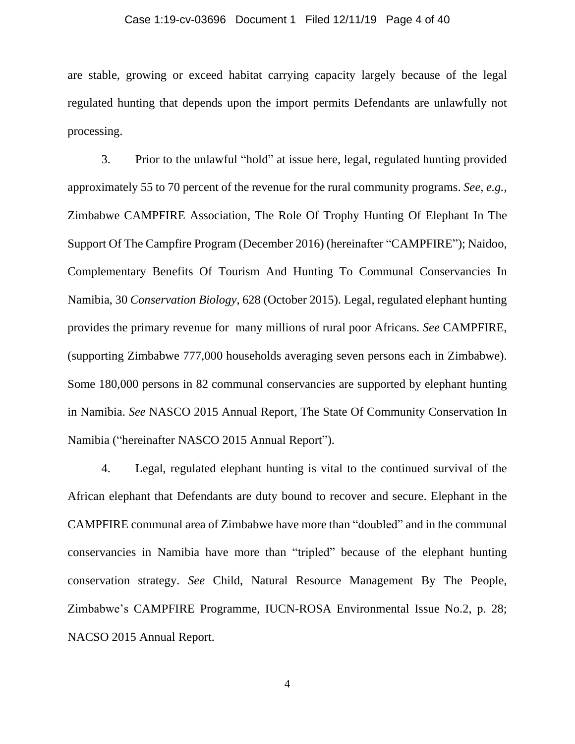## Case 1:19-cv-03696 Document 1 Filed 12/11/19 Page 4 of 40

are stable, growing or exceed habitat carrying capacity largely because of the legal regulated hunting that depends upon the import permits Defendants are unlawfully not processing.

3. Prior to the unlawful "hold" at issue here, legal, regulated hunting provided approximately 55 to 70 percent of the revenue for the rural community programs. *See, e.g.,* Zimbabwe CAMPFIRE Association, The Role Of Trophy Hunting Of Elephant In The Support Of The Campfire Program (December 2016) (hereinafter "CAMPFIRE"); Naidoo, Complementary Benefits Of Tourism And Hunting To Communal Conservancies In Namibia, 30 *Conservation Biology*, 628 (October 2015). Legal, regulated elephant hunting provides the primary revenue for many millions of rural poor Africans. *See* CAMPFIRE, (supporting Zimbabwe 777,000 households averaging seven persons each in Zimbabwe). Some 180,000 persons in 82 communal conservancies are supported by elephant hunting in Namibia. *See* NASCO 2015 Annual Report, The State Of Community Conservation In Namibia ("hereinafter NASCO 2015 Annual Report").

4. Legal, regulated elephant hunting is vital to the continued survival of the African elephant that Defendants are duty bound to recover and secure. Elephant in the CAMPFIRE communal area of Zimbabwe have more than "doubled" and in the communal conservancies in Namibia have more than "tripled" because of the elephant hunting conservation strategy. *See* Child, Natural Resource Management By The People, Zimbabwe's CAMPFIRE Programme, IUCN-ROSA Environmental Issue No.2, p. 28; NACSO 2015 Annual Report.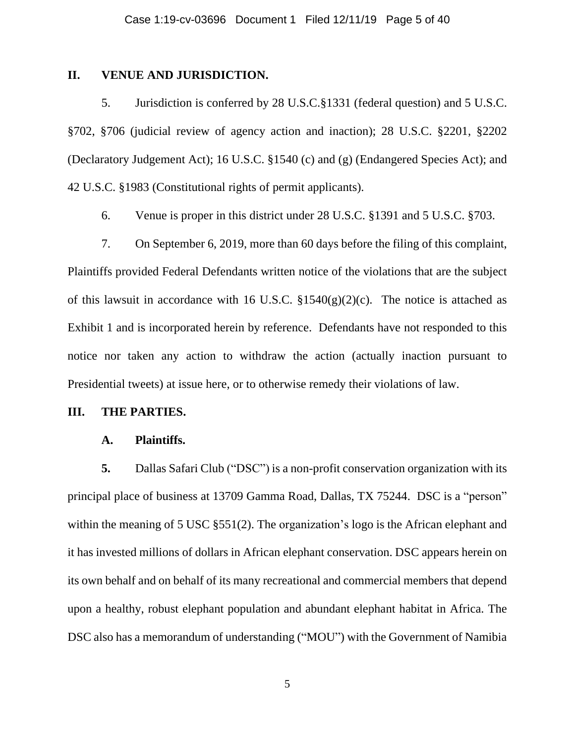## **II. VENUE AND JURISDICTION.**

5. Jurisdiction is conferred by 28 U.S.C.§1331 (federal question) and 5 U.S.C. §702, §706 (judicial review of agency action and inaction); 28 U.S.C. §2201, §2202 (Declaratory Judgement Act); 16 U.S.C. §1540 (c) and (g) (Endangered Species Act); and 42 U.S.C. §1983 (Constitutional rights of permit applicants).

6. Venue is proper in this district under 28 U.S.C. §1391 and 5 U.S.C. §703.

7. On September 6, 2019, more than 60 days before the filing of this complaint, Plaintiffs provided Federal Defendants written notice of the violations that are the subject of this lawsuit in accordance with 16 U.S.C.  $\S 1540(g)(2)(c)$ . The notice is attached as Exhibit 1 and is incorporated herein by reference. Defendants have not responded to this notice nor taken any action to withdraw the action (actually inaction pursuant to Presidential tweets) at issue here, or to otherwise remedy their violations of law.

#### **III. THE PARTIES.**

## **A. Plaintiffs.**

**5.** Dallas Safari Club ("DSC") is a non-profit conservation organization with its principal place of business at 13709 Gamma Road, Dallas, TX 75244. DSC is a "person" within the meaning of 5 USC §551(2). The organization's logo is the African elephant and it has invested millions of dollars in African elephant conservation. DSC appears herein on its own behalf and on behalf of its many recreational and commercial members that depend upon a healthy, robust elephant population and abundant elephant habitat in Africa. The DSC also has a memorandum of understanding ("MOU") with the Government of Namibia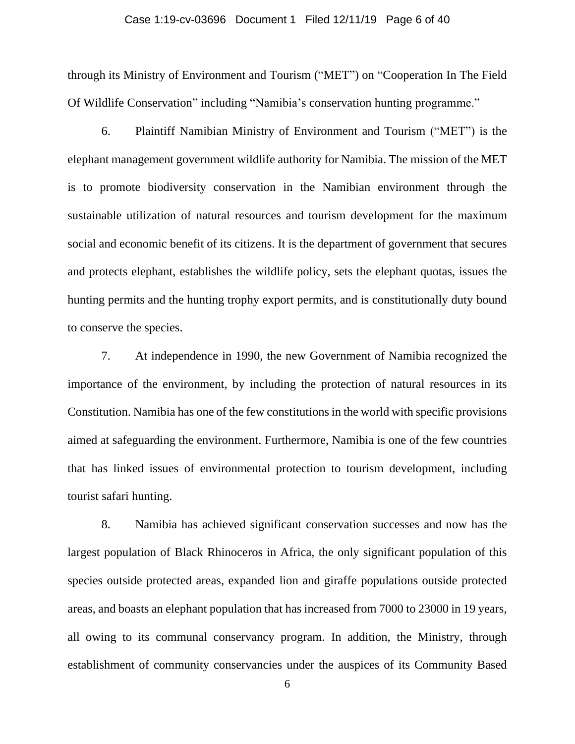## Case 1:19-cv-03696 Document 1 Filed 12/11/19 Page 6 of 40

through its Ministry of Environment and Tourism ("MET") on "Cooperation In The Field Of Wildlife Conservation" including "Namibia's conservation hunting programme."

6. Plaintiff Namibian Ministry of Environment and Tourism ("MET") is the elephant management government wildlife authority for Namibia. The mission of the MET is to promote biodiversity conservation in the Namibian environment through the sustainable utilization of natural resources and tourism development for the maximum social and economic benefit of its citizens. It is the department of government that secures and protects elephant, establishes the wildlife policy, sets the elephant quotas, issues the hunting permits and the hunting trophy export permits, and is constitutionally duty bound to conserve the species.

7. At independence in 1990, the new Government of Namibia recognized the importance of the environment, by including the protection of natural resources in its Constitution. Namibia has one of the few constitutions in the world with specific provisions aimed at safeguarding the environment. Furthermore, Namibia is one of the few countries that has linked issues of environmental protection to tourism development, including tourist safari hunting.

8. Namibia has achieved significant conservation successes and now has the largest population of Black Rhinoceros in Africa, the only significant population of this species outside protected areas, expanded lion and giraffe populations outside protected areas, and boasts an elephant population that has increased from 7000 to 23000 in 19 years, all owing to its communal conservancy program. In addition, the Ministry, through establishment of community conservancies under the auspices of its Community Based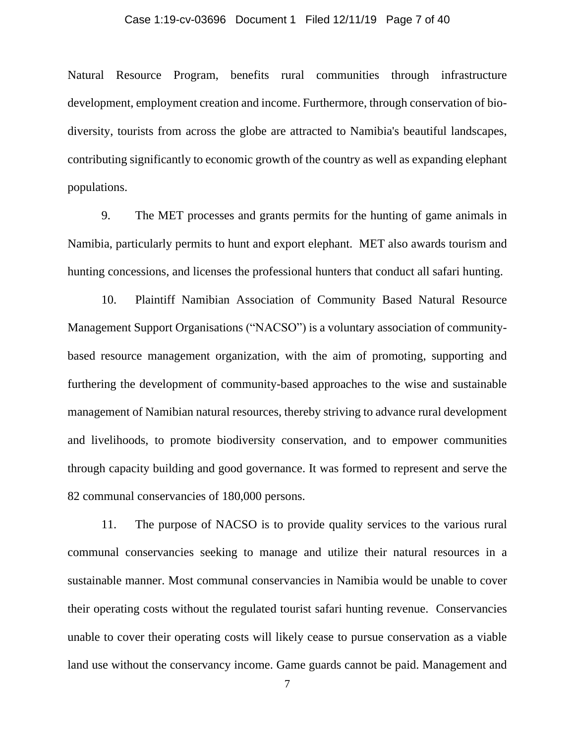## Case 1:19-cv-03696 Document 1 Filed 12/11/19 Page 7 of 40

Natural Resource Program, benefits rural communities through infrastructure development, employment creation and income. Furthermore, through conservation of biodiversity, tourists from across the globe are attracted to Namibia's beautiful landscapes, contributing significantly to economic growth of the country as well as expanding elephant populations.

9. The MET processes and grants permits for the hunting of game animals in Namibia, particularly permits to hunt and export elephant. MET also awards tourism and hunting concessions, and licenses the professional hunters that conduct all safari hunting.

10. Plaintiff Namibian Association of Community Based Natural Resource Management Support Organisations ("NACSO") is a voluntary association of communitybased resource management organization, with the aim of promoting, supporting and furthering the development of community-based approaches to the wise and sustainable management of Namibian natural resources, thereby striving to advance rural development and livelihoods, to promote biodiversity conservation, and to empower communities through capacity building and good governance. It was formed to represent and serve the 82 communal conservancies of 180,000 persons.

11. The purpose of NACSO is to provide quality services to the various rural communal conservancies seeking to manage and utilize their natural resources in a sustainable manner. Most communal conservancies in Namibia would be unable to cover their operating costs without the regulated tourist safari hunting revenue. Conservancies unable to cover their operating costs will likely cease to pursue conservation as a viable land use without the conservancy income. Game guards cannot be paid. Management and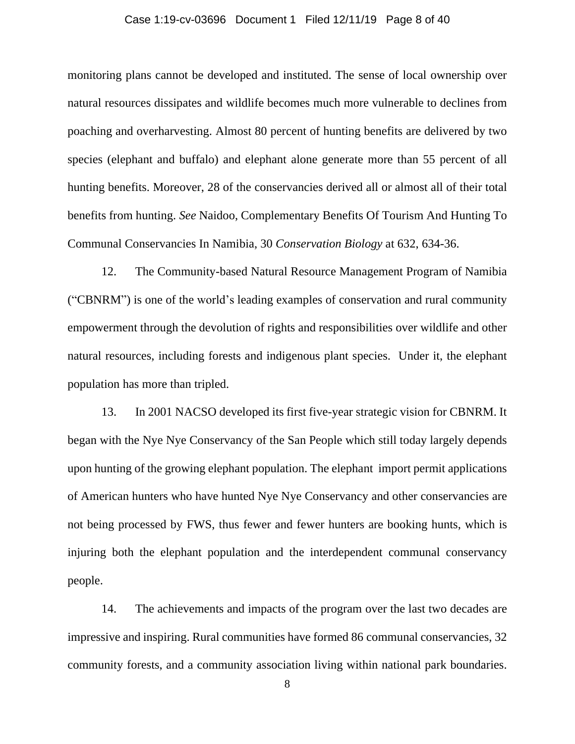## Case 1:19-cv-03696 Document 1 Filed 12/11/19 Page 8 of 40

monitoring plans cannot be developed and instituted. The sense of local ownership over natural resources dissipates and wildlife becomes much more vulnerable to declines from poaching and overharvesting. Almost 80 percent of hunting benefits are delivered by two species (elephant and buffalo) and elephant alone generate more than 55 percent of all hunting benefits. Moreover, 28 of the conservancies derived all or almost all of their total benefits from hunting. *See* Naidoo, Complementary Benefits Of Tourism And Hunting To Communal Conservancies In Namibia, 30 *Conservation Biology* at 632, 634-36.

12. The Community-based Natural Resource Management Program of Namibia ("CBNRM") is one of the world's leading examples of conservation and rural community empowerment through the devolution of rights and responsibilities over wildlife and other natural resources, including forests and indigenous plant species. Under it, the elephant population has more than tripled.

13. In 2001 NACSO developed its first five-year strategic vision for CBNRM. It began with the Nye Nye Conservancy of the San People which still today largely depends upon hunting of the growing elephant population. The elephant import permit applications of American hunters who have hunted Nye Nye Conservancy and other conservancies are not being processed by FWS, thus fewer and fewer hunters are booking hunts, which is injuring both the elephant population and the interdependent communal conservancy people.

14. The achievements and impacts of the program over the last two decades are impressive and inspiring. Rural communities have formed 86 communal conservancies, 32 community forests, and a community association living within national park boundaries.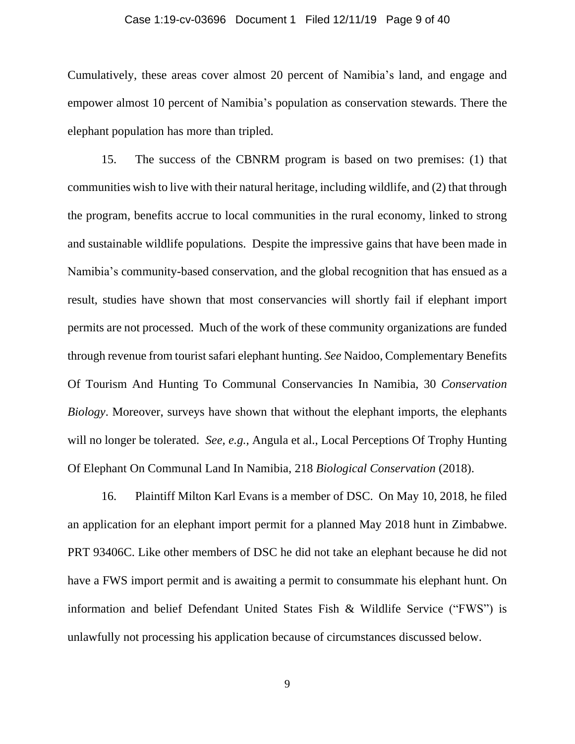## Case 1:19-cv-03696 Document 1 Filed 12/11/19 Page 9 of 40

Cumulatively, these areas cover almost 20 percent of Namibia's land, and engage and empower almost 10 percent of Namibia's population as conservation stewards. There the elephant population has more than tripled.

15. The success of the CBNRM program is based on two premises: (1) that communities wish to live with their natural heritage, including wildlife, and (2) that through the program, benefits accrue to local communities in the rural economy, linked to strong and sustainable wildlife populations. Despite the impressive gains that have been made in Namibia's community-based conservation, and the global recognition that has ensued as a result, studies have shown that most conservancies will shortly fail if elephant import permits are not processed. Much of the work of these community organizations are funded through revenue from tourist safari elephant hunting. *See* Naidoo, Complementary Benefits Of Tourism And Hunting To Communal Conservancies In Namibia, 30 *Conservation Biology*. Moreover, surveys have shown that without the elephant imports, the elephants will no longer be tolerated. *See, e.g.,* Angula et al., Local Perceptions Of Trophy Hunting Of Elephant On Communal Land In Namibia, 218 *Biological Conservation* (2018).

16. Plaintiff Milton Karl Evans is a member of DSC. On May 10, 2018, he filed an application for an elephant import permit for a planned May 2018 hunt in Zimbabwe. PRT 93406C. Like other members of DSC he did not take an elephant because he did not have a FWS import permit and is awaiting a permit to consummate his elephant hunt. On information and belief Defendant United States Fish & Wildlife Service ("FWS") is unlawfully not processing his application because of circumstances discussed below.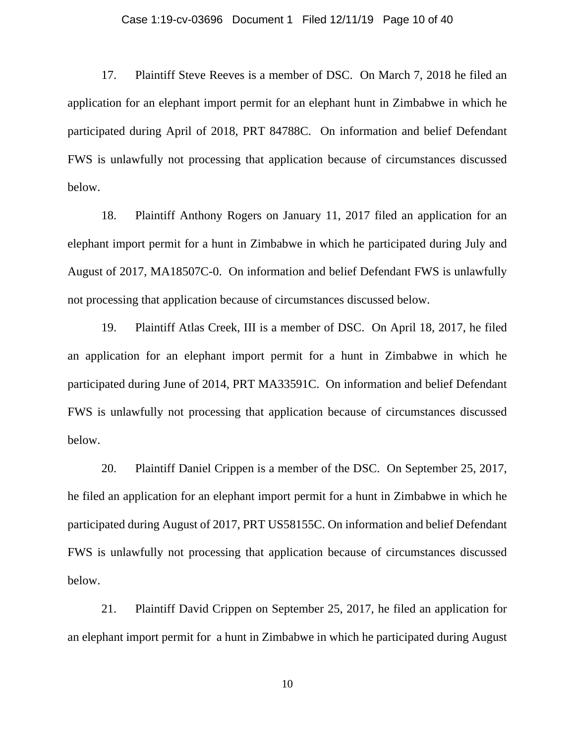#### Case 1:19-cv-03696 Document 1 Filed 12/11/19 Page 10 of 40

17. Plaintiff Steve Reeves is a member of DSC. On March 7, 2018 he filed an application for an elephant import permit for an elephant hunt in Zimbabwe in which he participated during April of 2018, PRT 84788C. On information and belief Defendant FWS is unlawfully not processing that application because of circumstances discussed below.

18. Plaintiff Anthony Rogers on January 11, 2017 filed an application for an elephant import permit for a hunt in Zimbabwe in which he participated during July and August of 2017, MA18507C-0. On information and belief Defendant FWS is unlawfully not processing that application because of circumstances discussed below.

19. Plaintiff Atlas Creek, III is a member of DSC. On April 18, 2017, he filed an application for an elephant import permit for a hunt in Zimbabwe in which he participated during June of 2014, PRT MA33591C. On information and belief Defendant FWS is unlawfully not processing that application because of circumstances discussed below.

20. Plaintiff Daniel Crippen is a member of the DSC. On September 25, 2017, he filed an application for an elephant import permit for a hunt in Zimbabwe in which he participated during August of 2017, PRT US58155C. On information and belief Defendant FWS is unlawfully not processing that application because of circumstances discussed below.

21. Plaintiff David Crippen on September 25, 2017, he filed an application for an elephant import permit for a hunt in Zimbabwe in which he participated during August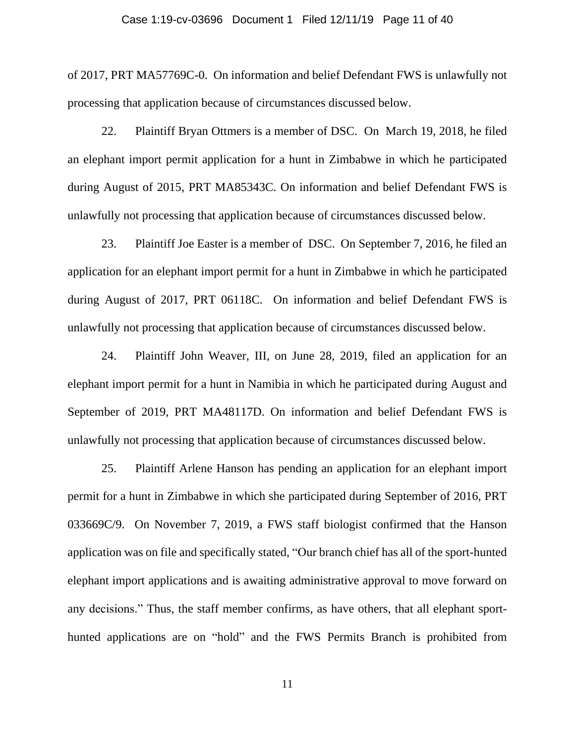#### Case 1:19-cv-03696 Document 1 Filed 12/11/19 Page 11 of 40

of 2017, PRT MA57769C-0. On information and belief Defendant FWS is unlawfully not processing that application because of circumstances discussed below.

22. Plaintiff Bryan Ottmers is a member of DSC. On March 19, 2018, he filed an elephant import permit application for a hunt in Zimbabwe in which he participated during August of 2015, PRT MA85343C. On information and belief Defendant FWS is unlawfully not processing that application because of circumstances discussed below.

23. Plaintiff Joe Easter is a member of DSC. On September 7, 2016, he filed an application for an elephant import permit for a hunt in Zimbabwe in which he participated during August of 2017, PRT 06118C. On information and belief Defendant FWS is unlawfully not processing that application because of circumstances discussed below.

24. Plaintiff John Weaver, III, on June 28, 2019, filed an application for an elephant import permit for a hunt in Namibia in which he participated during August and September of 2019, PRT MA48117D. On information and belief Defendant FWS is unlawfully not processing that application because of circumstances discussed below.

25. Plaintiff Arlene Hanson has pending an application for an elephant import permit for a hunt in Zimbabwe in which she participated during September of 2016, PRT 033669C/9. On November 7, 2019, a FWS staff biologist confirmed that the Hanson application was on file and specifically stated, "Our branch chief has all of the sport-hunted elephant import applications and is awaiting administrative approval to move forward on any decisions." Thus, the staff member confirms, as have others, that all elephant sporthunted applications are on "hold" and the FWS Permits Branch is prohibited from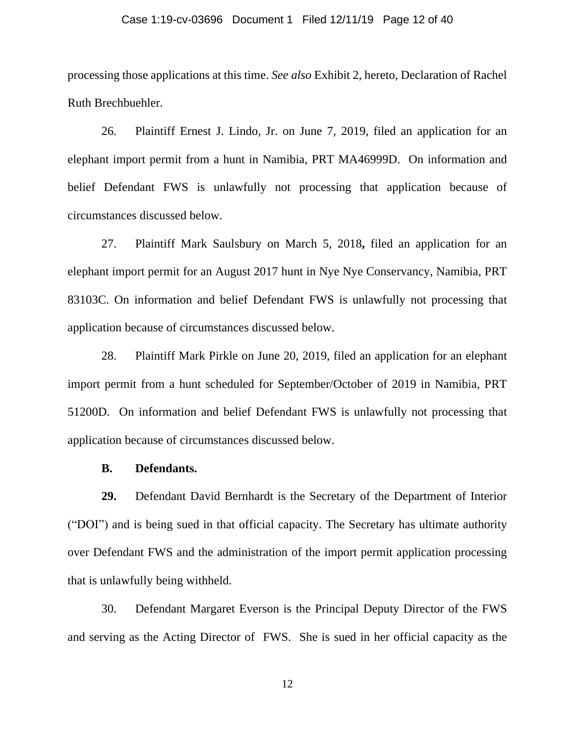#### Case 1:19-cv-03696 Document 1 Filed 12/11/19 Page 12 of 40

processing those applications at this time. *See also* Exhibit 2, hereto, Declaration of Rachel Ruth Brechbuehler.

26. Plaintiff Ernest J. Lindo, Jr. on June 7, 2019, filed an application for an elephant import permit from a hunt in Namibia, PRT MA46999D. On information and belief Defendant FWS is unlawfully not processing that application because of circumstances discussed below.

27. Plaintiff Mark Saulsbury on March 5, 2018**,** filed an application for an elephant import permit for an August 2017 hunt in Nye Nye Conservancy, Namibia, PRT 83103C. On information and belief Defendant FWS is unlawfully not processing that application because of circumstances discussed below.

28. Plaintiff Mark Pirkle on June 20, 2019, filed an application for an elephant import permit from a hunt scheduled for September/October of 2019 in Namibia, PRT 51200D. On information and belief Defendant FWS is unlawfully not processing that application because of circumstances discussed below.

### **B. Defendants.**

**29.** Defendant David Bernhardt is the Secretary of the Department of Interior ("DOI") and is being sued in that official capacity. The Secretary has ultimate authority over Defendant FWS and the administration of the import permit application processing that is unlawfully being withheld.

30. Defendant Margaret Everson is the Principal Deputy Director of the FWS and serving as the Acting Director of FWS. She is sued in her official capacity as the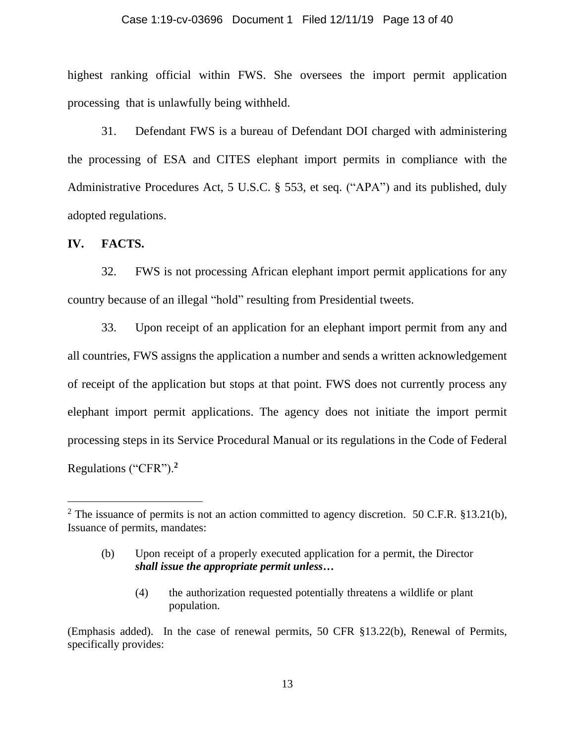#### Case 1:19-cv-03696 Document 1 Filed 12/11/19 Page 13 of 40

highest ranking official within FWS. She oversees the import permit application processing that is unlawfully being withheld.

31. Defendant FWS is a bureau of Defendant DOI charged with administering the processing of ESA and CITES elephant import permits in compliance with the Administrative Procedures Act, 5 U.S.C. § 553, et seq. ("APA") and its published, duly adopted regulations.

**IV. FACTS.**

32. FWS is not processing African elephant import permit applications for any country because of an illegal "hold" resulting from Presidential tweets.

33. Upon receipt of an application for an elephant import permit from any and all countries, FWS assigns the application a number and sends a written acknowledgement of receipt of the application but stops at that point. FWS does not currently process any elephant import permit applications. The agency does not initiate the import permit processing steps in its Service Procedural Manual or its regulations in the Code of Federal Regulations ("CFR").**<sup>2</sup>**

(4) the authorization requested potentially threatens a wildlife or plant population.

<sup>&</sup>lt;sup>2</sup> The issuance of permits is not an action committed to agency discretion. 50 C.F.R. §13.21(b), Issuance of permits, mandates:

<sup>(</sup>b) Upon receipt of a properly executed application for a permit, the Director *shall issue the appropriate permit unless…*

<sup>(</sup>Emphasis added). In the case of renewal permits, 50 CFR §13.22(b), Renewal of Permits, specifically provides: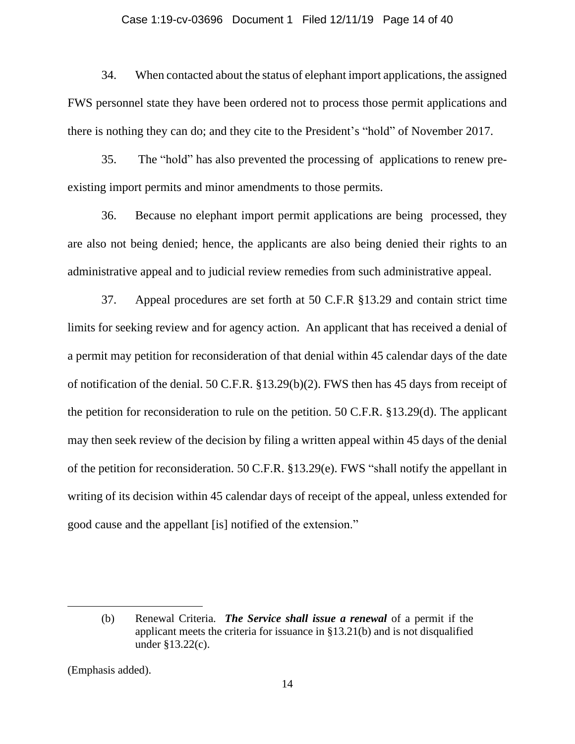#### Case 1:19-cv-03696 Document 1 Filed 12/11/19 Page 14 of 40

34. When contacted about the status of elephant import applications, the assigned FWS personnel state they have been ordered not to process those permit applications and there is nothing they can do; and they cite to the President's "hold" of November 2017.

35. The "hold" has also prevented the processing of applications to renew preexisting import permits and minor amendments to those permits.

36. Because no elephant import permit applications are being processed, they are also not being denied; hence, the applicants are also being denied their rights to an administrative appeal and to judicial review remedies from such administrative appeal.

37. Appeal procedures are set forth at 50 C.F.R §13.29 and contain strict time limits for seeking review and for agency action. An applicant that has received a denial of a permit may petition for reconsideration of that denial within 45 calendar days of the date of notification of the denial. 50 C.F.R. §13.29(b)(2). FWS then has 45 days from receipt of the petition for reconsideration to rule on the petition. 50 C.F.R. §13.29(d). The applicant may then seek review of the decision by filing a written appeal within 45 days of the denial of the petition for reconsideration. 50 C.F.R. §13.29(e). FWS "shall notify the appellant in writing of its decision within 45 calendar days of receipt of the appeal, unless extended for good cause and the appellant [is] notified of the extension."

<sup>(</sup>b) Renewal Criteria. *The Service shall issue a renewal* of a permit if the applicant meets the criteria for issuance in §13.21(b) and is not disqualified under §13.22(c).

<sup>(</sup>Emphasis added).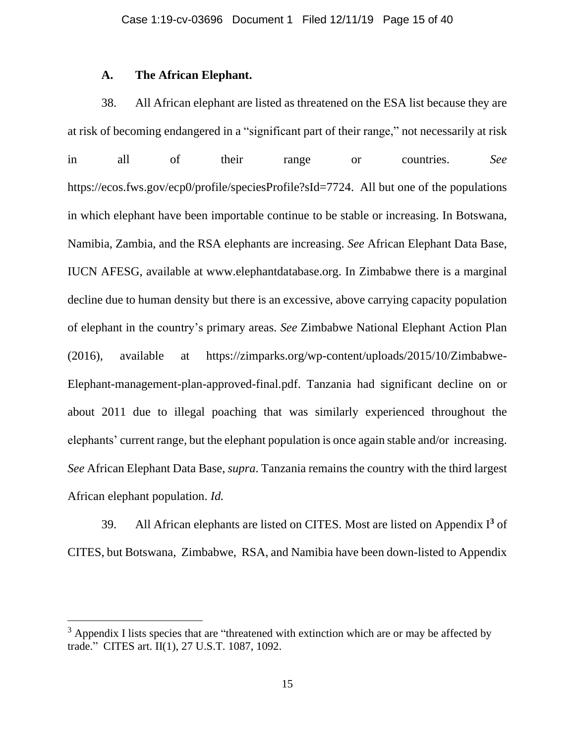## **A. The African Elephant.**

38. All African elephant are listed as threatened on the ESA list because they are at risk of becoming endangered in a "significant part of their range," not necessarily at risk in all of their range or countries. *See* https://ecos.fws.gov/ecp0/profile/speciesProfile?sId=7724. All but one of the populations in which elephant have been importable continue to be stable or increasing. In Botswana, Namibia, Zambia, and the RSA elephants are increasing. *See* African Elephant Data Base, IUCN AFESG, available at www.elephantdatabase.org. In Zimbabwe there is a marginal decline due to human density but there is an excessive, above carrying capacity population of elephant in the country's primary areas. *See* Zimbabwe National Elephant Action Plan (2016), available at https://zimparks.org/wp-content/uploads/2015/10/Zimbabwe-Elephant-management-plan-approved-final.pdf. Tanzania had significant decline on or about 2011 due to illegal poaching that was similarly experienced throughout the elephants' current range, but the elephant population is once again stable and/or increasing. *See* African Elephant Data Base, *supra*. Tanzania remains the country with the third largest African elephant population. *Id.*

39. All African elephants are listed on CITES. Most are listed on Appendix I **<sup>3</sup>** of CITES, but Botswana, Zimbabwe, RSA, and Namibia have been down-listed to Appendix

<sup>&</sup>lt;sup>3</sup> Appendix I lists species that are "threatened with extinction which are or may be affected by trade." CITES art. II(1), 27 U.S.T. 1087, 1092.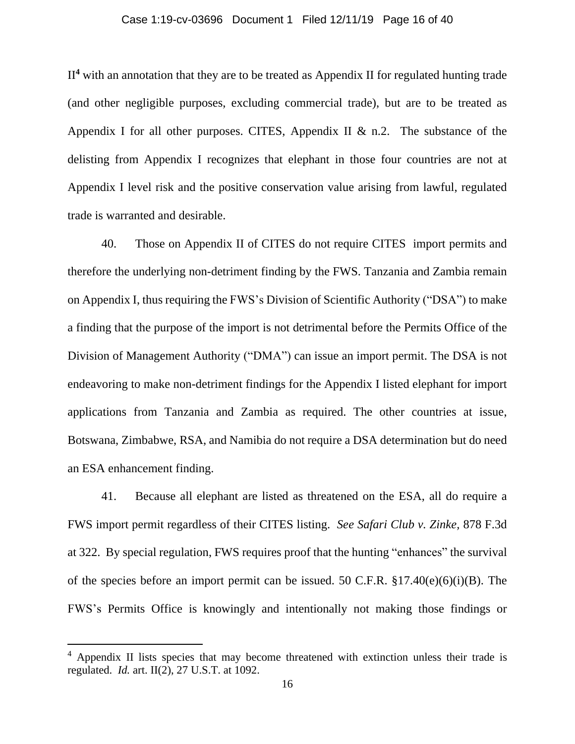### Case 1:19-cv-03696 Document 1 Filed 12/11/19 Page 16 of 40

II**<sup>4</sup>** with an annotation that they are to be treated as Appendix II for regulated hunting trade (and other negligible purposes, excluding commercial trade), but are to be treated as Appendix I for all other purposes. CITES, Appendix II  $&$  n.2. The substance of the delisting from Appendix I recognizes that elephant in those four countries are not at Appendix I level risk and the positive conservation value arising from lawful, regulated trade is warranted and desirable.

40. Those on Appendix II of CITES do not require CITES import permits and therefore the underlying non-detriment finding by the FWS. Tanzania and Zambia remain on Appendix I, thus requiring the FWS's Division of Scientific Authority ("DSA") to make a finding that the purpose of the import is not detrimental before the Permits Office of the Division of Management Authority ("DMA") can issue an import permit. The DSA is not endeavoring to make non-detriment findings for the Appendix I listed elephant for import applications from Tanzania and Zambia as required. The other countries at issue, Botswana, Zimbabwe, RSA, and Namibia do not require a DSA determination but do need an ESA enhancement finding.

41. Because all elephant are listed as threatened on the ESA, all do require a FWS import permit regardless of their CITES listing. *See Safari Club v. Zinke,* 878 F.3d at 322. By special regulation, FWS requires proof that the hunting "enhances" the survival of the species before an import permit can be issued. 50 C.F.R.  $\S 17.40(e)(6)(i)(B)$ . The FWS's Permits Office is knowingly and intentionally not making those findings or

<sup>&</sup>lt;sup>4</sup> Appendix II lists species that may become threatened with extinction unless their trade is regulated. *Id.* art. II(2), 27 U.S.T. at 1092.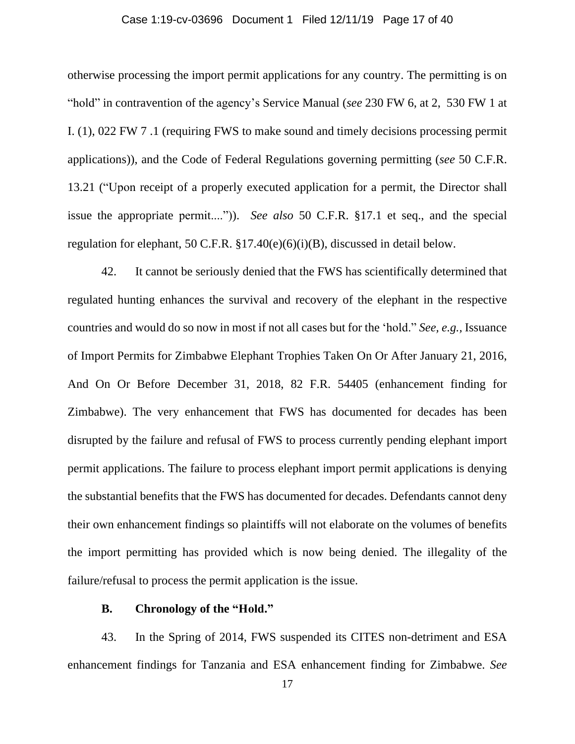### Case 1:19-cv-03696 Document 1 Filed 12/11/19 Page 17 of 40

otherwise processing the import permit applications for any country. The permitting is on "hold" in contravention of the agency's Service Manual (*see* 230 FW 6, at 2, 530 FW 1 at I. (1), 022 FW 7 .1 (requiring FWS to make sound and timely decisions processing permit applications)), and the Code of Federal Regulations governing permitting (*see* 50 C.F.R. 13.21 ("Upon receipt of a properly executed application for a permit, the Director shall issue the appropriate permit....")). *See also* 50 C.F.R. §17.1 et seq., and the special regulation for elephant, 50 C.F.R. §17.40(e)(6)(i)(B), discussed in detail below.

42. It cannot be seriously denied that the FWS has scientifically determined that regulated hunting enhances the survival and recovery of the elephant in the respective countries and would do so now in most if not all cases but for the 'hold." *See, e.g.,* Issuance of Import Permits for Zimbabwe Elephant Trophies Taken On Or After January 21, 2016, And On Or Before December 31, 2018, 82 F.R. 54405 (enhancement finding for Zimbabwe). The very enhancement that FWS has documented for decades has been disrupted by the failure and refusal of FWS to process currently pending elephant import permit applications. The failure to process elephant import permit applications is denying the substantial benefits that the FWS has documented for decades. Defendants cannot deny their own enhancement findings so plaintiffs will not elaborate on the volumes of benefits the import permitting has provided which is now being denied. The illegality of the failure/refusal to process the permit application is the issue.

## **B. Chronology of the "Hold."**

43. In the Spring of 2014, FWS suspended its CITES non-detriment and ESA enhancement findings for Tanzania and ESA enhancement finding for Zimbabwe. *See*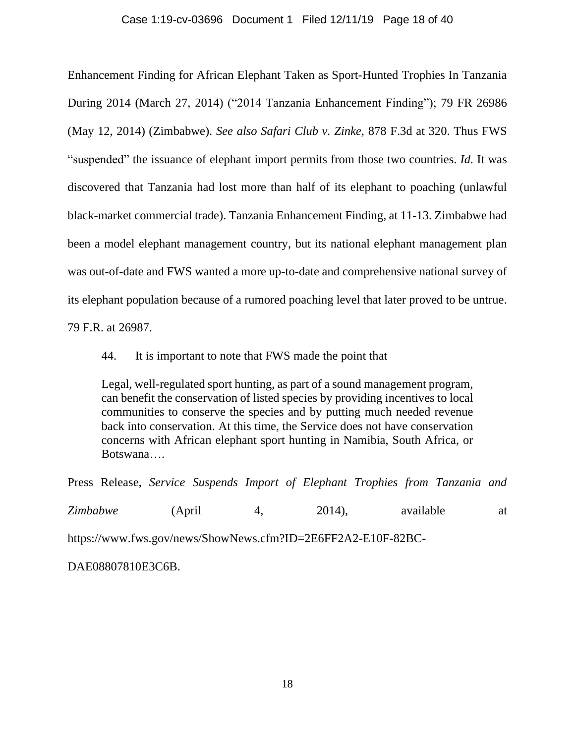## Case 1:19-cv-03696 Document 1 Filed 12/11/19 Page 18 of 40

Enhancement Finding for African Elephant Taken as Sport-Hunted Trophies In Tanzania During 2014 (March 27, 2014) ("2014 Tanzania Enhancement Finding"); 79 FR 26986 (May 12, 2014) (Zimbabwe). *See also Safari Club v. Zinke,* 878 F.3d at 320. Thus FWS "suspended" the issuance of elephant import permits from those two countries. *Id.* It was discovered that Tanzania had lost more than half of its elephant to poaching (unlawful black-market commercial trade). Tanzania Enhancement Finding, at 11-13. Zimbabwe had been a model elephant management country, but its national elephant management plan was out-of-date and FWS wanted a more up-to-date and comprehensive national survey of its elephant population because of a rumored poaching level that later proved to be untrue.

79 F.R. at 26987.

44. It is important to note that FWS made the point that

Legal, well-regulated sport hunting, as part of a sound management program, can benefit the conservation of listed species by providing incentives to local communities to conserve the species and by putting much needed revenue back into conservation. At this time, the Service does not have conservation concerns with African elephant sport hunting in Namibia, South Africa, or Botswana….

Press Release, *Service Suspends Import of Elephant Trophies from Tanzania and*

*Zimbabwe* (April 4, 2014), available at https://www.fws.gov/news/ShowNews.cfm?ID=2E6FF2A2-E10F-82BC-

DAE08807810E3C6B.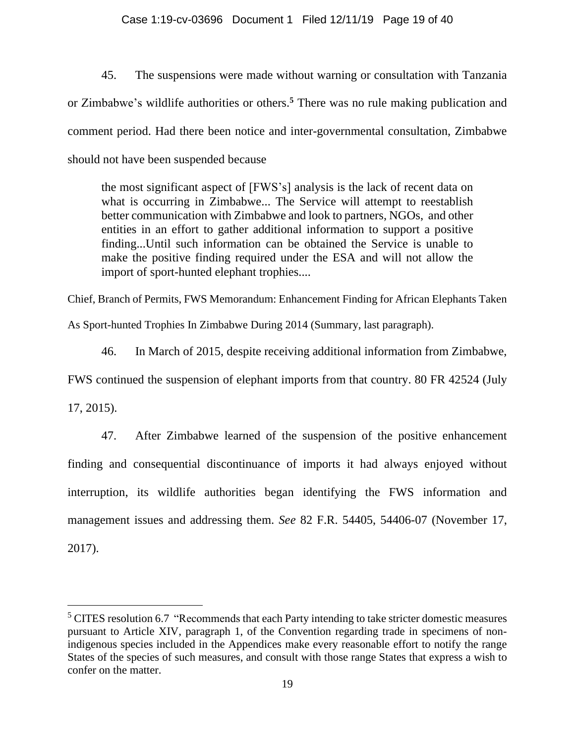## Case 1:19-cv-03696 Document 1 Filed 12/11/19 Page 19 of 40

45. The suspensions were made without warning or consultation with Tanzania or Zimbabwe's wildlife authorities or others.**<sup>5</sup>** There was no rule making publication and comment period. Had there been notice and inter-governmental consultation, Zimbabwe should not have been suspended because

the most significant aspect of [FWS's] analysis is the lack of recent data on what is occurring in Zimbabwe... The Service will attempt to reestablish better communication with Zimbabwe and look to partners, NGOs, and other entities in an effort to gather additional information to support a positive finding...Until such information can be obtained the Service is unable to make the positive finding required under the ESA and will not allow the import of sport-hunted elephant trophies....

Chief, Branch of Permits, FWS Memorandum: Enhancement Finding for African Elephants Taken

As Sport-hunted Trophies In Zimbabwe During 2014 (Summary, last paragraph).

46. In March of 2015, despite receiving additional information from Zimbabwe,

FWS continued the suspension of elephant imports from that country. 80 FR 42524 (July

17, 2015).

47. After Zimbabwe learned of the suspension of the positive enhancement finding and consequential discontinuance of imports it had always enjoyed without interruption, its wildlife authorities began identifying the FWS information and management issues and addressing them. *See* 82 F.R. 54405, 54406-07 (November 17, 2017).

<sup>&</sup>lt;sup>5</sup> CITES resolution 6.7 "Recommends that each Party intending to take stricter domestic measures pursuant to Article XIV, paragraph 1, of the Convention regarding trade in specimens of nonindigenous species included in the Appendices make every reasonable effort to notify the range States of the species of such measures, and consult with those range States that express a wish to confer on the matter.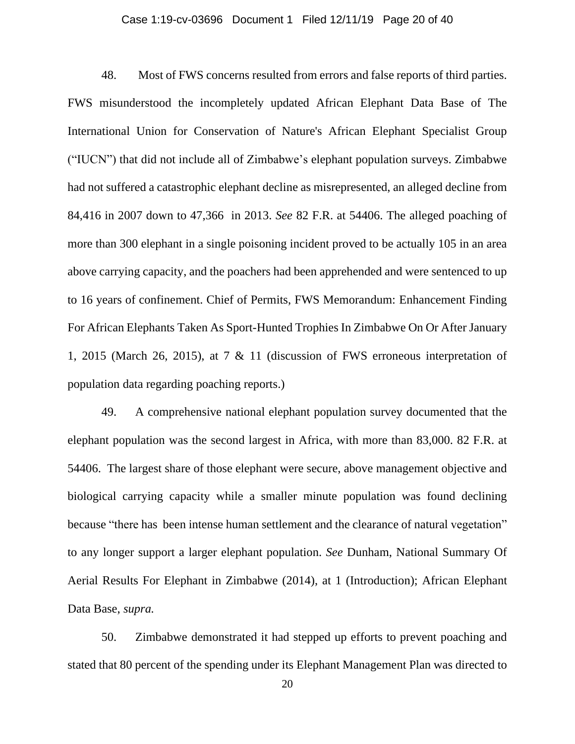#### Case 1:19-cv-03696 Document 1 Filed 12/11/19 Page 20 of 40

48. Most of FWS concerns resulted from errors and false reports of third parties. FWS misunderstood the incompletely updated African Elephant Data Base of The International Union for Conservation of Nature's African Elephant Specialist Group ("IUCN") that did not include all of Zimbabwe's elephant population surveys. Zimbabwe had not suffered a catastrophic elephant decline as misrepresented, an alleged decline from 84,416 in 2007 down to 47,366 in 2013. *See* 82 F.R. at 54406. The alleged poaching of more than 300 elephant in a single poisoning incident proved to be actually 105 in an area above carrying capacity, and the poachers had been apprehended and were sentenced to up to 16 years of confinement. Chief of Permits, FWS Memorandum: Enhancement Finding For African Elephants Taken As Sport-Hunted Trophies In Zimbabwe On Or After January 1, 2015 (March 26, 2015), at 7 & 11 (discussion of FWS erroneous interpretation of population data regarding poaching reports.)

49. A comprehensive national elephant population survey documented that the elephant population was the second largest in Africa, with more than 83,000. 82 F.R. at 54406. The largest share of those elephant were secure, above management objective and biological carrying capacity while a smaller minute population was found declining because "there has been intense human settlement and the clearance of natural vegetation" to any longer support a larger elephant population. *See* Dunham, National Summary Of Aerial Results For Elephant in Zimbabwe (2014), at 1 (Introduction); African Elephant Data Base, *supra.*

50. Zimbabwe demonstrated it had stepped up efforts to prevent poaching and stated that 80 percent of the spending under its Elephant Management Plan was directed to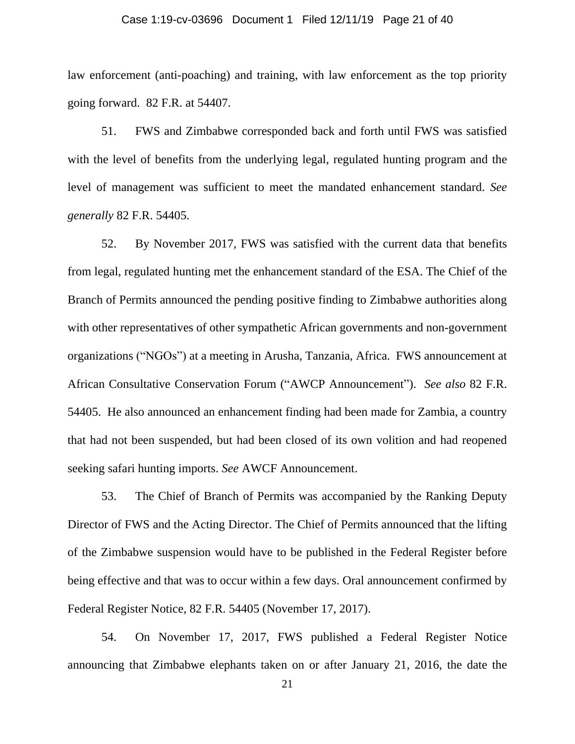#### Case 1:19-cv-03696 Document 1 Filed 12/11/19 Page 21 of 40

law enforcement (anti-poaching) and training, with law enforcement as the top priority going forward. 82 F.R. at 54407.

51. FWS and Zimbabwe corresponded back and forth until FWS was satisfied with the level of benefits from the underlying legal, regulated hunting program and the level of management was sufficient to meet the mandated enhancement standard. *See generally* 82 F.R. 54405.

52. By November 2017, FWS was satisfied with the current data that benefits from legal, regulated hunting met the enhancement standard of the ESA. The Chief of the Branch of Permits announced the pending positive finding to Zimbabwe authorities along with other representatives of other sympathetic African governments and non-government organizations ("NGOs") at a meeting in Arusha, Tanzania, Africa. FWS announcement at African Consultative Conservation Forum ("AWCP Announcement"). *See also* 82 F.R. 54405. He also announced an enhancement finding had been made for Zambia, a country that had not been suspended, but had been closed of its own volition and had reopened seeking safari hunting imports. *See* AWCF Announcement.

53. The Chief of Branch of Permits was accompanied by the Ranking Deputy Director of FWS and the Acting Director. The Chief of Permits announced that the lifting of the Zimbabwe suspension would have to be published in the Federal Register before being effective and that was to occur within a few days. Oral announcement confirmed by Federal Register Notice, 82 F.R. 54405 (November 17, 2017).

54. On November 17, 2017, FWS published a Federal Register Notice announcing that Zimbabwe elephants taken on or after January 21, 2016, the date the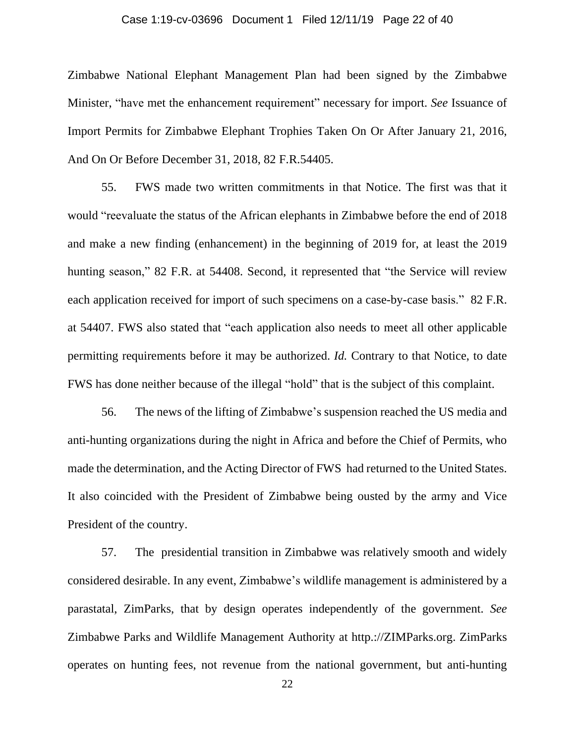#### Case 1:19-cv-03696 Document 1 Filed 12/11/19 Page 22 of 40

Zimbabwe National Elephant Management Plan had been signed by the Zimbabwe Minister, "have met the enhancement requirement" necessary for import. *See* Issuance of Import Permits for Zimbabwe Elephant Trophies Taken On Or After January 21, 2016, And On Or Before December 31, 2018, 82 F.R.54405.

55. FWS made two written commitments in that Notice. The first was that it would "reevaluate the status of the African elephants in Zimbabwe before the end of 2018 and make a new finding (enhancement) in the beginning of 2019 for, at least the 2019 hunting season," 82 F.R. at 54408. Second, it represented that "the Service will review each application received for import of such specimens on a case-by-case basis." 82 F.R. at 54407. FWS also stated that "each application also needs to meet all other applicable permitting requirements before it may be authorized. *Id.* Contrary to that Notice, to date FWS has done neither because of the illegal "hold" that is the subject of this complaint.

56. The news of the lifting of Zimbabwe's suspension reached the US media and anti-hunting organizations during the night in Africa and before the Chief of Permits, who made the determination, and the Acting Director of FWS had returned to the United States. It also coincided with the President of Zimbabwe being ousted by the army and Vice President of the country.

57. The presidential transition in Zimbabwe was relatively smooth and widely considered desirable. In any event, Zimbabwe's wildlife management is administered by a parastatal, ZimParks, that by design operates independently of the government. *See* Zimbabwe Parks and Wildlife Management Authority at http.://ZIMParks.org. ZimParks operates on hunting fees, not revenue from the national government, but anti-hunting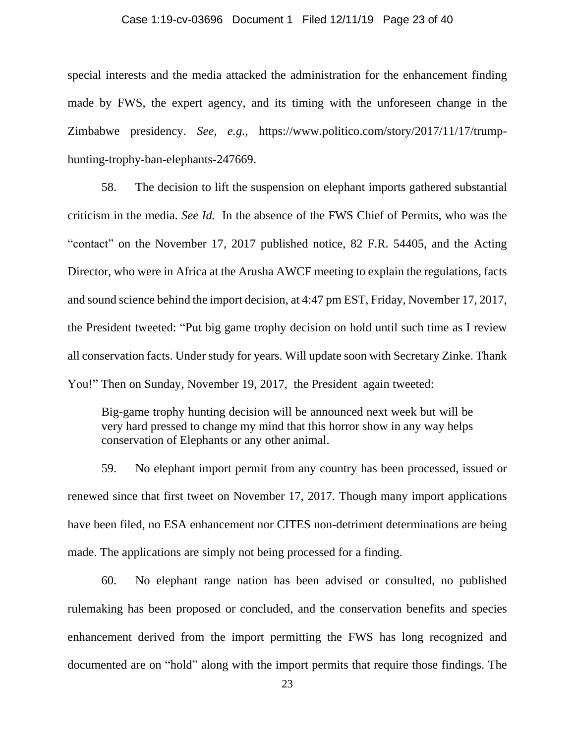#### Case 1:19-cv-03696 Document 1 Filed 12/11/19 Page 23 of 40

special interests and the media attacked the administration for the enhancement finding made by FWS, the expert agency, and its timing with the unforeseen change in the Zimbabwe presidency. *See, e.g.,* https://www.politico.com/story/2017/11/17/trumphunting-trophy-ban-elephants-247669.

58. The decision to lift the suspension on elephant imports gathered substantial criticism in the media. *See Id.* In the absence of the FWS Chief of Permits, who was the "contact" on the November 17, 2017 published notice, 82 F.R. 54405, and the Acting Director, who were in Africa at the Arusha AWCF meeting to explain the regulations, facts and sound science behind the import decision, at 4:47 pm EST, Friday, November 17, 2017, the President tweeted: "Put big game trophy decision on hold until such time as I review all conservation facts. Under study for years. Will update soon with Secretary Zinke. Thank You!" Then on Sunday, November 19, 2017, the President again tweeted:

Big-game trophy hunting decision will be announced next week but will be very hard pressed to change my mind that this horror show in any way helps conservation of Elephants or any other animal.

59. No elephant import permit from any country has been processed, issued or renewed since that first tweet on November 17, 2017. Though many import applications have been filed, no ESA enhancement nor CITES non-detriment determinations are being made. The applications are simply not being processed for a finding.

60. No elephant range nation has been advised or consulted, no published rulemaking has been proposed or concluded, and the conservation benefits and species enhancement derived from the import permitting the FWS has long recognized and documented are on "hold" along with the import permits that require those findings. The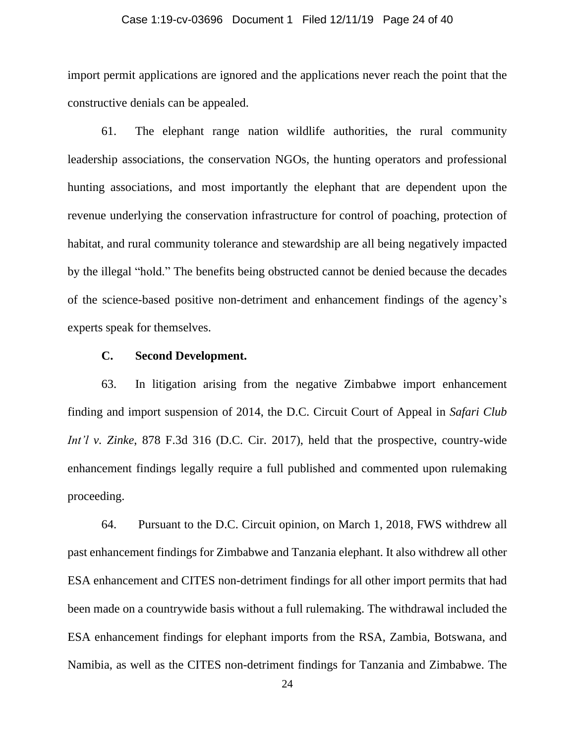#### Case 1:19-cv-03696 Document 1 Filed 12/11/19 Page 24 of 40

import permit applications are ignored and the applications never reach the point that the constructive denials can be appealed.

61. The elephant range nation wildlife authorities, the rural community leadership associations, the conservation NGOs, the hunting operators and professional hunting associations, and most importantly the elephant that are dependent upon the revenue underlying the conservation infrastructure for control of poaching, protection of habitat, and rural community tolerance and stewardship are all being negatively impacted by the illegal "hold." The benefits being obstructed cannot be denied because the decades of the science-based positive non-detriment and enhancement findings of the agency's experts speak for themselves.

## **C. Second Development.**

63. In litigation arising from the negative Zimbabwe import enhancement finding and import suspension of 2014, the D.C. Circuit Court of Appeal in *Safari Club Int'l v. Zinke*, 878 F.3d 316 (D.C. Cir. 2017), held that the prospective, country-wide enhancement findings legally require a full published and commented upon rulemaking proceeding.

64. Pursuant to the D.C. Circuit opinion, on March 1, 2018, FWS withdrew all past enhancement findings for Zimbabwe and Tanzania elephant. It also withdrew all other ESA enhancement and CITES non-detriment findings for all other import permits that had been made on a countrywide basis without a full rulemaking. The withdrawal included the ESA enhancement findings for elephant imports from the RSA, Zambia, Botswana, and Namibia, as well as the CITES non-detriment findings for Tanzania and Zimbabwe. The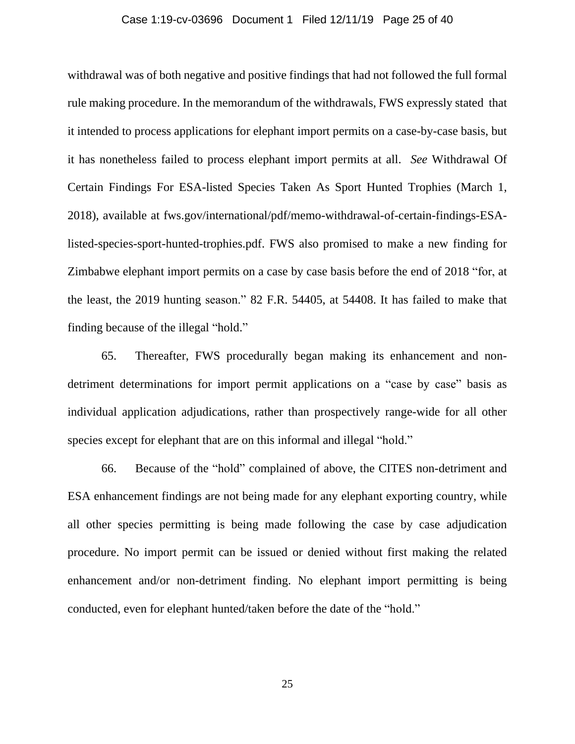#### Case 1:19-cv-03696 Document 1 Filed 12/11/19 Page 25 of 40

withdrawal was of both negative and positive findings that had not followed the full formal rule making procedure. In the memorandum of the withdrawals, FWS expressly stated that it intended to process applications for elephant import permits on a case-by-case basis, but it has nonetheless failed to process elephant import permits at all. *See* Withdrawal Of Certain Findings For ESA-listed Species Taken As Sport Hunted Trophies (March 1, 2018), available at fws.gov/international/pdf/memo-withdrawal-of-certain-findings-ESAlisted-species-sport-hunted-trophies.pdf. FWS also promised to make a new finding for Zimbabwe elephant import permits on a case by case basis before the end of 2018 "for, at the least, the 2019 hunting season." 82 F.R. 54405, at 54408. It has failed to make that finding because of the illegal "hold."

65. Thereafter, FWS procedurally began making its enhancement and nondetriment determinations for import permit applications on a "case by case" basis as individual application adjudications, rather than prospectively range-wide for all other species except for elephant that are on this informal and illegal "hold."

66. Because of the "hold" complained of above, the CITES non-detriment and ESA enhancement findings are not being made for any elephant exporting country, while all other species permitting is being made following the case by case adjudication procedure. No import permit can be issued or denied without first making the related enhancement and/or non-detriment finding. No elephant import permitting is being conducted, even for elephant hunted/taken before the date of the "hold."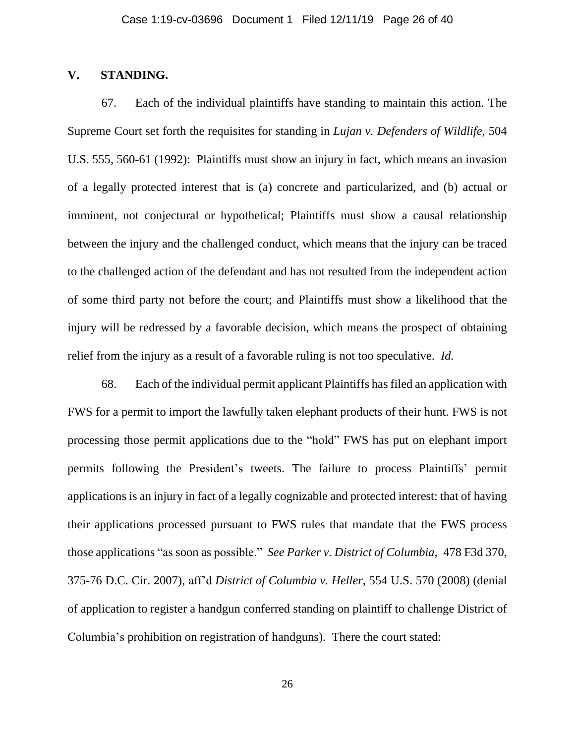## **V. STANDING.**

67. Each of the individual plaintiffs have standing to maintain this action. The Supreme Court set forth the requisites for standing in *Lujan v. Defenders of Wildlife*, 504 U.S. 555, 560-61 (1992): Plaintiffs must show an injury in fact, which means an invasion of a legally protected interest that is (a) concrete and particularized, and (b) actual or imminent, not conjectural or hypothetical; Plaintiffs must show a causal relationship between the injury and the challenged conduct, which means that the injury can be traced to the challenged action of the defendant and has not resulted from the independent action of some third party not before the court; and Plaintiffs must show a likelihood that the injury will be redressed by a favorable decision, which means the prospect of obtaining relief from the injury as a result of a favorable ruling is not too speculative. *Id.*

68. Each of the individual permit applicant Plaintiffs has filed an application with FWS for a permit to import the lawfully taken elephant products of their hunt. FWS is not processing those permit applications due to the "hold" FWS has put on elephant import permits following the President's tweets. The failure to process Plaintiffs' permit applications is an injury in fact of a legally cognizable and protected interest: that of having their applications processed pursuant to FWS rules that mandate that the FWS process those applications "as soon as possible." *See Parker v. District of Columbia,* 478 F3d 370, 375-76 D.C. Cir. 2007), aff'd *District of Columbia v. Heller,* 554 U.S. 570 (2008) (denial of application to register a handgun conferred standing on plaintiff to challenge District of Columbia's prohibition on registration of handguns). There the court stated: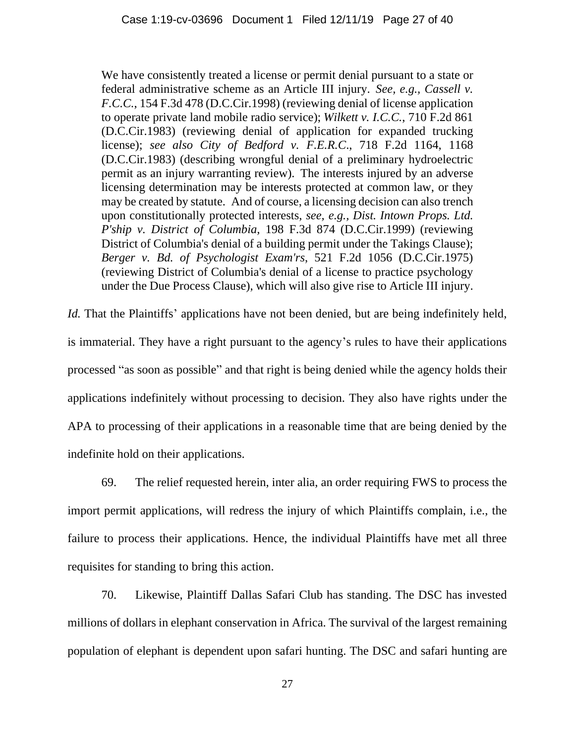We have consistently treated a license or permit denial pursuant to a state or federal administrative scheme as an Article III injury. *See, e.g., Cassell v. F.C.C.*, 154 F.3d 478 (D.C.Cir.1998) (reviewing denial of license application to operate private land mobile radio service); *Wilkett v. I.C.C.*, 710 F.2d 861 (D.C.Cir.1983) (reviewing denial of application for expanded trucking license); *see also City of Bedford v. F.E.R.C*., 718 F.2d 1164, 1168 (D.C.Cir.1983) (describing wrongful denial of a preliminary hydroelectric permit as an injury warranting review). The interests injured by an adverse licensing determination may be interests protected at common law, or they may be created by statute. And of course, a licensing decision can also trench upon constitutionally protected interests, *see, e.g., Dist. Intown Props. Ltd. P'ship v. District of Columbia,* 198 F.3d 874 (D.C.Cir.1999) (reviewing District of Columbia's denial of a building permit under the Takings Clause); *Berger v. Bd. of Psychologist Exam'rs*, 521 F.2d 1056 (D.C.Cir.1975) (reviewing District of Columbia's denial of a license to practice psychology under the Due Process Clause), which will also give rise to Article III injury.

*Id.* That the Plaintiffs' applications have not been denied, but are being indefinitely held, is immaterial. They have a right pursuant to the agency's rules to have their applications processed "as soon as possible" and that right is being denied while the agency holds their applications indefinitely without processing to decision. They also have rights under the APA to processing of their applications in a reasonable time that are being denied by the indefinite hold on their applications.

69. The relief requested herein, inter alia, an order requiring FWS to process the import permit applications, will redress the injury of which Plaintiffs complain, i.e., the failure to process their applications. Hence, the individual Plaintiffs have met all three requisites for standing to bring this action.

70. Likewise, Plaintiff Dallas Safari Club has standing. The DSC has invested millions of dollars in elephant conservation in Africa. The survival of the largest remaining population of elephant is dependent upon safari hunting. The DSC and safari hunting are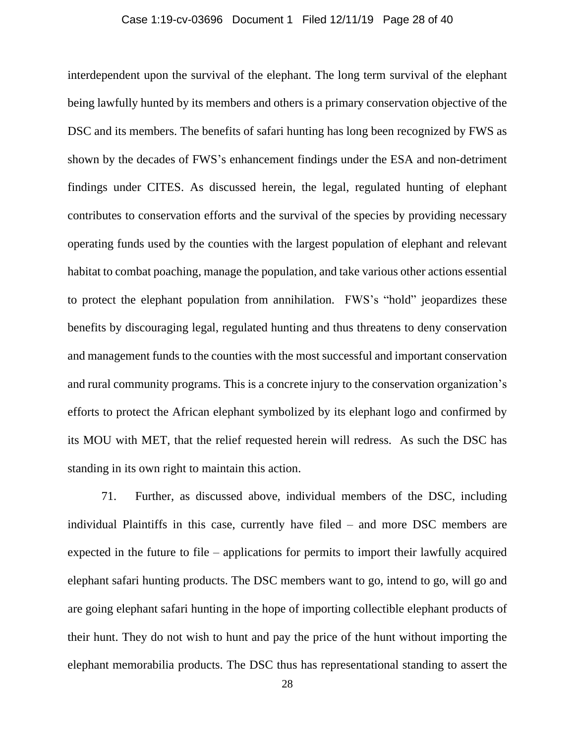#### Case 1:19-cv-03696 Document 1 Filed 12/11/19 Page 28 of 40

interdependent upon the survival of the elephant. The long term survival of the elephant being lawfully hunted by its members and others is a primary conservation objective of the DSC and its members. The benefits of safari hunting has long been recognized by FWS as shown by the decades of FWS's enhancement findings under the ESA and non-detriment findings under CITES. As discussed herein, the legal, regulated hunting of elephant contributes to conservation efforts and the survival of the species by providing necessary operating funds used by the counties with the largest population of elephant and relevant habitat to combat poaching, manage the population, and take various other actions essential to protect the elephant population from annihilation. FWS's "hold" jeopardizes these benefits by discouraging legal, regulated hunting and thus threatens to deny conservation and management funds to the counties with the most successful and important conservation and rural community programs. This is a concrete injury to the conservation organization's efforts to protect the African elephant symbolized by its elephant logo and confirmed by its MOU with MET, that the relief requested herein will redress. As such the DSC has standing in its own right to maintain this action.

71. Further, as discussed above, individual members of the DSC, including individual Plaintiffs in this case, currently have filed – and more DSC members are expected in the future to file – applications for permits to import their lawfully acquired elephant safari hunting products. The DSC members want to go, intend to go, will go and are going elephant safari hunting in the hope of importing collectible elephant products of their hunt. They do not wish to hunt and pay the price of the hunt without importing the elephant memorabilia products. The DSC thus has representational standing to assert the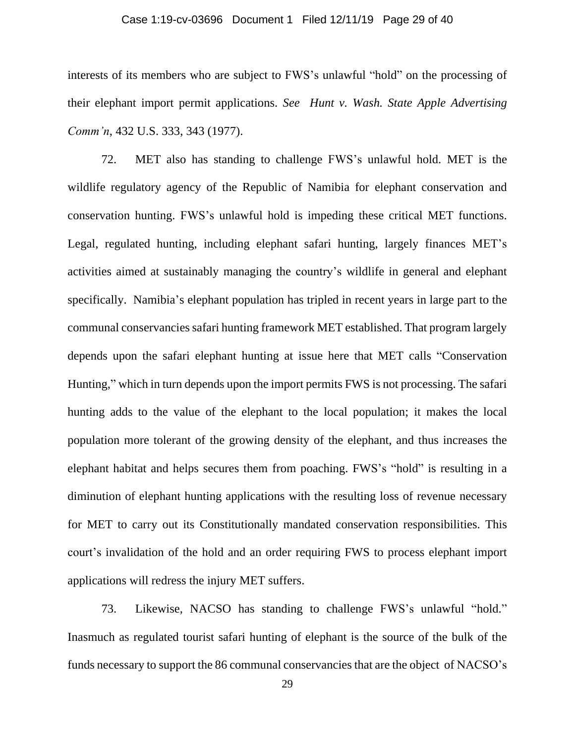#### Case 1:19-cv-03696 Document 1 Filed 12/11/19 Page 29 of 40

interests of its members who are subject to FWS's unlawful "hold" on the processing of their elephant import permit applications. *See Hunt v. Wash. State Apple Advertising Comm'n*, 432 U.S. 333, 343 (1977).

72. MET also has standing to challenge FWS's unlawful hold. MET is the wildlife regulatory agency of the Republic of Namibia for elephant conservation and conservation hunting. FWS's unlawful hold is impeding these critical MET functions. Legal, regulated hunting, including elephant safari hunting, largely finances MET's activities aimed at sustainably managing the country's wildlife in general and elephant specifically. Namibia's elephant population has tripled in recent years in large part to the communal conservancies safari hunting framework MET established. That program largely depends upon the safari elephant hunting at issue here that MET calls "Conservation Hunting," which in turn depends upon the import permits FWS is not processing. The safari hunting adds to the value of the elephant to the local population; it makes the local population more tolerant of the growing density of the elephant, and thus increases the elephant habitat and helps secures them from poaching. FWS's "hold" is resulting in a diminution of elephant hunting applications with the resulting loss of revenue necessary for MET to carry out its Constitutionally mandated conservation responsibilities. This court's invalidation of the hold and an order requiring FWS to process elephant import applications will redress the injury MET suffers.

73. Likewise, NACSO has standing to challenge FWS's unlawful "hold." Inasmuch as regulated tourist safari hunting of elephant is the source of the bulk of the funds necessary to support the 86 communal conservancies that are the object of NACSO's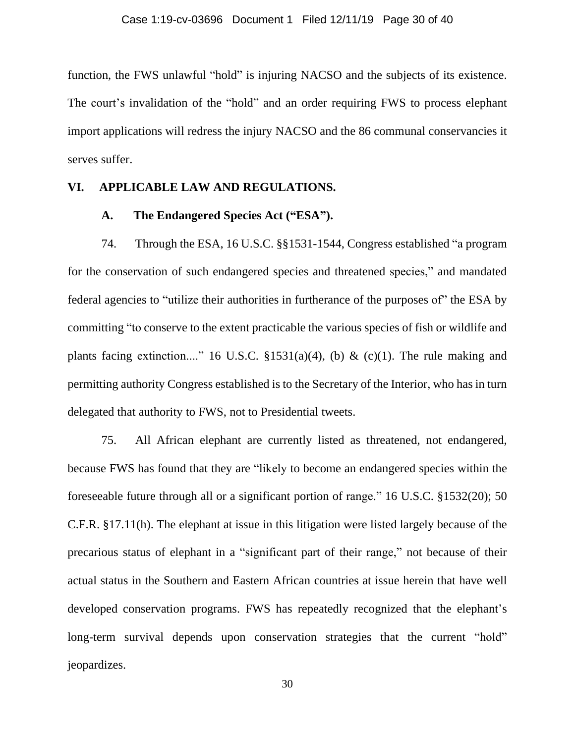function, the FWS unlawful "hold" is injuring NACSO and the subjects of its existence. The court's invalidation of the "hold" and an order requiring FWS to process elephant import applications will redress the injury NACSO and the 86 communal conservancies it serves suffer.

## **VI. APPLICABLE LAW AND REGULATIONS.**

## **A. The Endangered Species Act ("ESA").**

74. Through the ESA, 16 U.S.C. §§1531-1544, Congress established "a program for the conservation of such endangered species and threatened species," and mandated federal agencies to "utilize their authorities in furtherance of the purposes of" the ESA by committing "to conserve to the extent practicable the various species of fish or wildlife and plants facing extinction...." 16 U.S.C.  $\S 1531(a)(4)$ , (b) & (c)(1). The rule making and permitting authority Congress established is to the Secretary of the Interior, who has in turn delegated that authority to FWS, not to Presidential tweets.

75. All African elephant are currently listed as threatened, not endangered, because FWS has found that they are "likely to become an endangered species within the foreseeable future through all or a significant portion of range." 16 U.S.C. §1532(20); 50 C.F.R. §17.11(h). The elephant at issue in this litigation were listed largely because of the precarious status of elephant in a "significant part of their range," not because of their actual status in the Southern and Eastern African countries at issue herein that have well developed conservation programs. FWS has repeatedly recognized that the elephant's long-term survival depends upon conservation strategies that the current "hold" jeopardizes.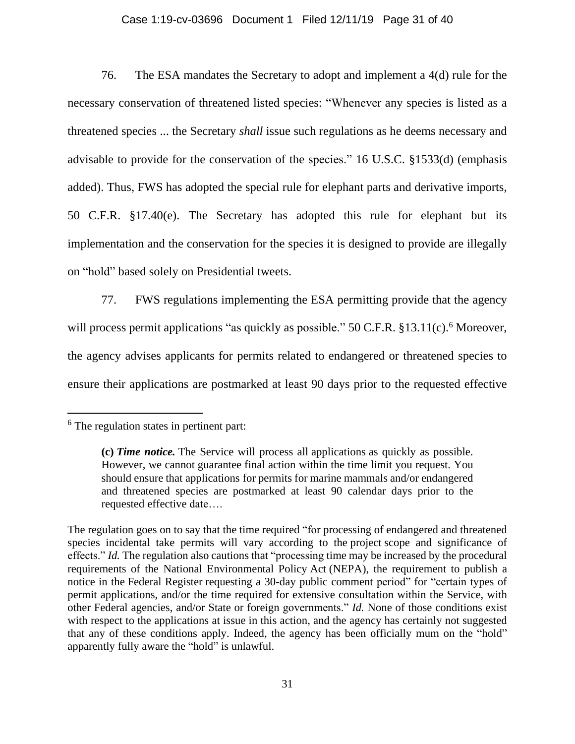## Case 1:19-cv-03696 Document 1 Filed 12/11/19 Page 31 of 40

76. The ESA mandates the Secretary to adopt and implement a 4(d) rule for the necessary conservation of threatened listed species: "Whenever any species is listed as a threatened species ... the Secretary *shall* issue such regulations as he deems necessary and advisable to provide for the conservation of the species." 16 U.S.C. §1533(d) (emphasis added). Thus, FWS has adopted the special rule for elephant parts and derivative imports, 50 C.F.R. §17.40(e). The Secretary has adopted this rule for elephant but its implementation and the conservation for the species it is designed to provide are illegally on "hold" based solely on Presidential tweets.

77. FWS regulations implementing the ESA permitting provide that the agency will process permit applications "as quickly as possible."  $50$  C.F.R.  $$13.11(c)$ . Moreover, the agency advises applicants for permits related to endangered or threatened species to ensure their applications are postmarked at least 90 days prior to the requested effective

 $<sup>6</sup>$  The regulation states in pertinent part:</sup>

**<sup>(</sup>c)** *Time notice.* The Service will process all [applications](https://www.law.cornell.edu/definitions/index.php?width=840&height=800&iframe=true&def_id=3d2b4867e8b16886bbf58c7b6c053024&term_occur=999&term_src=Title:50:Chapter:I:Subchapter:B:Part:13:Subpart:B:13.11) as quickly as possible. However, we cannot [guarantee](https://www.law.cornell.edu/definitions/index.php?width=840&height=800&iframe=true&def_id=050e6bbd2d57757176132a2e6144d84c&term_occur=999&term_src=Title:50:Chapter:I:Subchapter:B:Part:13:Subpart:B:13.11) final action within the time limit you request. You should ensure that [applications](https://www.law.cornell.edu/definitions/index.php?width=840&height=800&iframe=true&def_id=3d2b4867e8b16886bbf58c7b6c053024&term_occur=999&term_src=Title:50:Chapter:I:Subchapter:B:Part:13:Subpart:B:13.11) for permits for marine mammals and/or endangered and threatened species are postmarked at least 90 calendar days prior to the requested effective date….

The regulation goes on to say that the time required "for processing of endangered and threatened species incidental take permits will vary according to the [project](https://www.law.cornell.edu/definitions/index.php?width=840&height=800&iframe=true&def_id=2df062233ef371949a67464ea6562283&term_occur=999&term_src=Title:50:Chapter:I:Subchapter:B:Part:13:Subpart:B:13.11) scope and significance of effects." *Id.* The regulation also cautions that "processing time may be increased by the procedural requirements of the National Environmental Policy [Act](https://www.law.cornell.edu/definitions/index.php?width=840&height=800&iframe=true&def_id=ee1dea1106c862f05ca4e04ce77f3ed6&term_occur=999&term_src=Title:50:Chapter:I:Subchapter:B:Part:13:Subpart:B:13.11) (NEPA), the requirement to publish a notice in the Federal Register requesting a 30-day public comment period" for "certain types of permit applications, and/or the time required for extensive consultation within the Service, with other Federal agencies, and/or State or foreign governments." *Id.* None of those conditions exist with respect to the applications at issue in this action, and the agency has certainly not suggested that any of these conditions apply. Indeed, the agency has been officially mum on the "hold" apparently fully aware the "hold" is unlawful.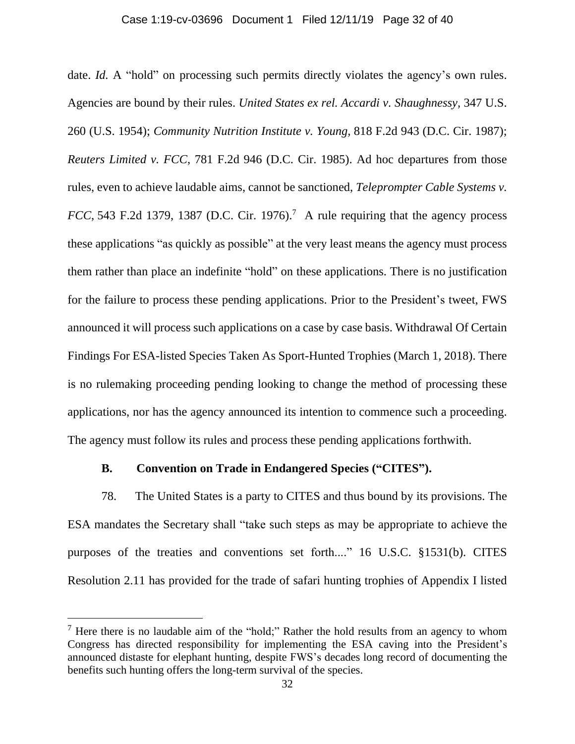#### Case 1:19-cv-03696 Document 1 Filed 12/11/19 Page 32 of 40

date. *Id.* A "hold" on processing such permits directly violates the agency's own rules. Agencies are bound by their rules. *United States ex rel. Accardi v. Shaughnessy,* 347 U.S. 260 (U.S. 1954); *Community Nutrition Institute v. Young,* 818 F.2d 943 (D.C. Cir. 1987); *Reuters Limited v. FCC*, 781 F.2d 946 (D.C. Cir. 1985). Ad hoc departures from those rules, even to achieve laudable aims, cannot be sanctioned, *Teleprompter Cable Systems v. FCC*, 543 F.2d 1379, 1387 (D.C. Cir. 1976).<sup>7</sup> A rule requiring that the agency process these applications "as quickly as possible" at the very least means the agency must process them rather than place an indefinite "hold" on these applications. There is no justification for the failure to process these pending applications. Prior to the President's tweet, FWS announced it will process such applications on a case by case basis. Withdrawal Of Certain Findings For ESA-listed Species Taken As Sport-Hunted Trophies (March 1, 2018). There is no rulemaking proceeding pending looking to change the method of processing these applications, nor has the agency announced its intention to commence such a proceeding. The agency must follow its rules and process these pending applications forthwith.

### **B. Convention on Trade in Endangered Species ("CITES").**

78. The United States is a party to CITES and thus bound by its provisions. The ESA mandates the Secretary shall "take such steps as may be appropriate to achieve the purposes of the treaties and conventions set forth...." 16 U.S.C. §1531(b). CITES Resolution 2.11 has provided for the trade of safari hunting trophies of Appendix I listed

 $<sup>7</sup>$  Here there is no laudable aim of the "hold;" Rather the hold results from an agency to whom</sup> Congress has directed responsibility for implementing the ESA caving into the President's announced distaste for elephant hunting, despite FWS's decades long record of documenting the benefits such hunting offers the long-term survival of the species.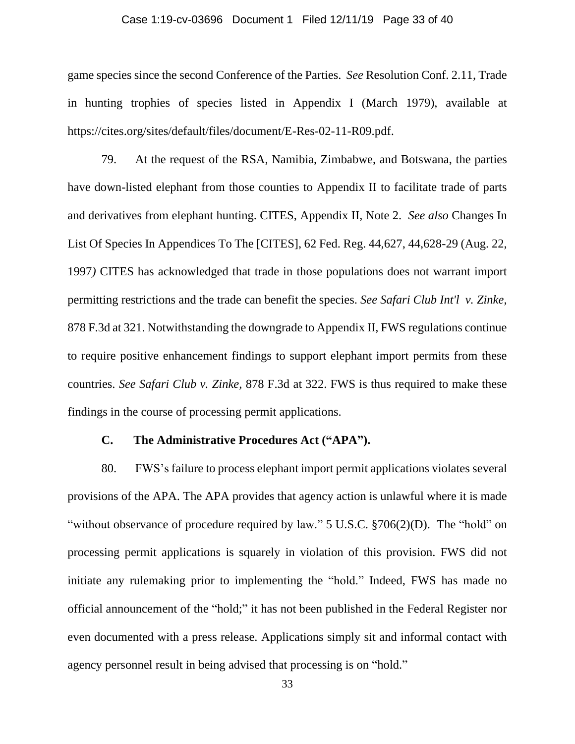#### Case 1:19-cv-03696 Document 1 Filed 12/11/19 Page 33 of 40

game species since the second Conference of the Parties. *See* Resolution Conf. 2.11, Trade in hunting trophies of species listed in Appendix I (March 1979), available at https://cites.org/sites/default/files/document/E-Res-02-11-R09.pdf.

79. At the request of the RSA, Namibia, Zimbabwe, and Botswana, the parties have down-listed elephant from those counties to Appendix II to facilitate trade of parts and derivatives from elephant hunting. CITES, Appendix II, Note 2. *See also* Changes In List Of Species In Appendices To The [CITES], 62 Fed. Reg. 44,627, 44,628-29 (Aug. 22, 1997*)* CITES has acknowledged that trade in those populations does not warrant import permitting restrictions and the trade can benefit the species. *See Safari Club Int'l v. Zinke*, 878 F.3d at 321. Notwithstanding the downgrade to Appendix II, FWS regulations continue to require positive enhancement findings to support elephant import permits from these countries. *See Safari Club v. Zinke,* 878 F.3d at 322. FWS is thus required to make these findings in the course of processing permit applications.

## **C. The Administrative Procedures Act ("APA").**

80. FWS's failure to process elephant import permit applications violates several provisions of the APA. The APA provides that agency action is unlawful where it is made "without observance of procedure required by law." 5 U.S.C.  $\S706(2)(D)$ . The "hold" on processing permit applications is squarely in violation of this provision. FWS did not initiate any rulemaking prior to implementing the "hold." Indeed, FWS has made no official announcement of the "hold;" it has not been published in the Federal Register nor even documented with a press release. Applications simply sit and informal contact with agency personnel result in being advised that processing is on "hold."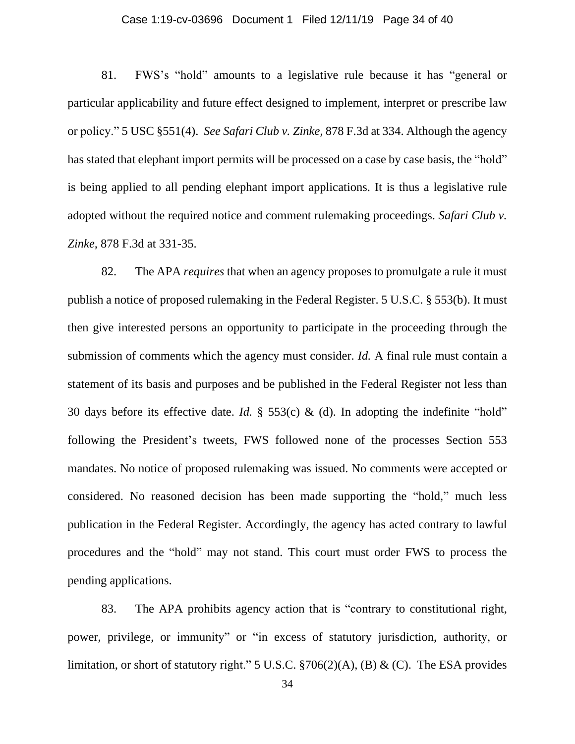### Case 1:19-cv-03696 Document 1 Filed 12/11/19 Page 34 of 40

81. FWS's "hold" amounts to a legislative rule because it has "general or particular applicability and future effect designed to implement, interpret or prescribe law or policy." 5 USC §551(4). *See Safari Club v. Zinke,* 878 F.3d at 334. Although the agency has stated that elephant import permits will be processed on a case by case basis, the "hold" is being applied to all pending elephant import applications. It is thus a legislative rule adopted without the required notice and comment rulemaking proceedings. *Safari Club v. Zinke,* 878 F.3d at 331-35.

82. The APA *requires* that when an agency proposes to promulgate a rule it must publish a notice of proposed rulemaking in the Federal Register. 5 U.S.C. § 553(b). It must then give interested persons an opportunity to participate in the proceeding through the submission of comments which the agency must consider. *Id.* A final rule must contain a statement of its basis and purposes and be published in the Federal Register not less than 30 days before its effective date. *Id.* § 553(c) & (d). In adopting the indefinite "hold" following the President's tweets, FWS followed none of the processes Section 553 mandates. No notice of proposed rulemaking was issued. No comments were accepted or considered. No reasoned decision has been made supporting the "hold," much less publication in the Federal Register. Accordingly, the agency has acted contrary to lawful procedures and the "hold" may not stand. This court must order FWS to process the pending applications.

83. The APA prohibits agency action that is "contrary to constitutional right, power, privilege, or immunity" or "in excess of statutory jurisdiction, authority, or limitation, or short of statutory right." 5 U.S.C.  $\frac{2706(2)}{A}$ , (B) & (C). The ESA provides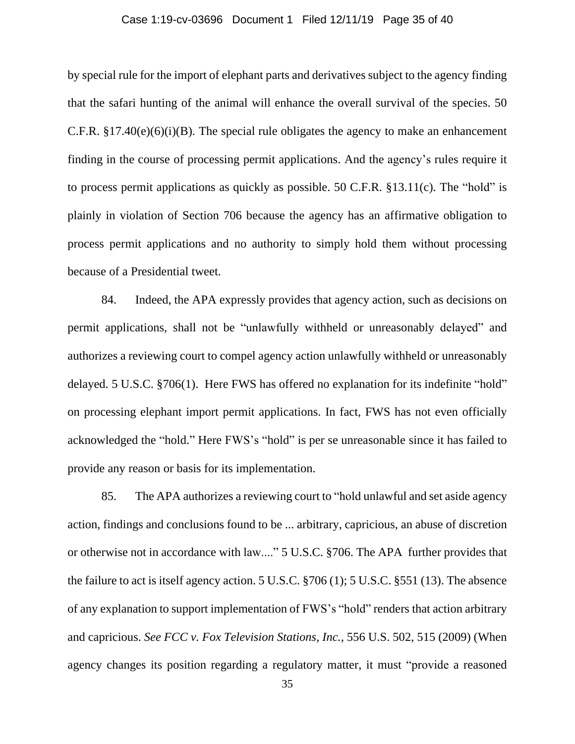#### Case 1:19-cv-03696 Document 1 Filed 12/11/19 Page 35 of 40

by special rule for the import of elephant parts and derivatives subject to the agency finding that the safari hunting of the animal will enhance the overall survival of the species. 50 C.F.R.  $§17.40(e)(6)(i)(B)$ . The special rule obligates the agency to make an enhancement finding in the course of processing permit applications. And the agency's rules require it to process permit applications as quickly as possible. 50 C.F.R. §13.11(c). The "hold" is plainly in violation of Section 706 because the agency has an affirmative obligation to process permit applications and no authority to simply hold them without processing because of a Presidential tweet.

84. Indeed, the APA expressly provides that agency action, such as decisions on permit applications, shall not be "unlawfully withheld or unreasonably delayed" and authorizes a reviewing court to compel agency action unlawfully withheld or unreasonably delayed. 5 U.S.C. §706(1). Here FWS has offered no explanation for its indefinite "hold" on processing elephant import permit applications. In fact, FWS has not even officially acknowledged the "hold." Here FWS's "hold" is per se unreasonable since it has failed to provide any reason or basis for its implementation.

85. The APA authorizes a reviewing court to "hold unlawful and set aside agency action, findings and conclusions found to be ... arbitrary, capricious, an abuse of discretion or otherwise not in accordance with law...." 5 U.S.C. §706. The APA further provides that the failure to act is itself agency action. 5 U.S.C. §706 (1); 5 U.S.C. §551 (13). The absence of any explanation to support implementation of FWS's "hold" renders that action arbitrary and capricious. *See FCC v. Fox Television Stations, Inc.,* 556 U.S. 502, 515 (2009) (When agency changes its position regarding a regulatory matter, it must "provide a reasoned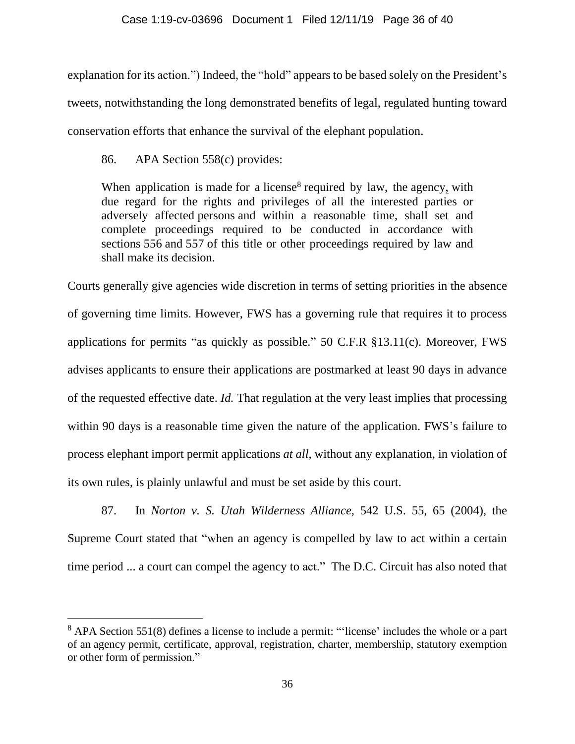explanation for its action.") Indeed, the "hold" appears to be based solely on the President's tweets, notwithstanding the long demonstrated benefits of legal, regulated hunting toward conservation efforts that enhance the survival of the elephant population.

86. APA Section 558(c) provides:

When application is [made](https://www.law.cornell.edu/uscode/text/5/558) for a [license](https://www.law.cornell.edu/uscode/text/5/558)<sup>8</sup> required by law, the [agency,](https://www.law.cornell.edu/uscode/text/5/558) with due regard for the rights and privileges of all the interested parties or adversely affected [persons](https://www.law.cornell.edu/uscode/text/5/558) and within a reasonable time, shall set and complete proceedings required to be conducted in accordance with sections [556](https://www.law.cornell.edu/uscode/text/5/556) and [557](https://www.law.cornell.edu/uscode/text/5/557) of this title or other proceedings required by law and shall make its decision.

Courts generally give agencies wide discretion in terms of setting priorities in the absence of governing time limits. However, FWS has a governing rule that requires it to process applications for permits "as quickly as possible." 50 C.F.R §13.11(c). Moreover, FWS advises applicants to ensure their applications are postmarked at least 90 days in advance of the requested effective date. *Id.* That regulation at the very least implies that processing within 90 days is a reasonable time given the nature of the application. FWS's failure to process elephant import permit applications *at all,* without any explanation, in violation of its own rules, is plainly unlawful and must be set aside by this court.

87. In *Norton v. S. Utah Wilderness Alliance*, 542 U.S. 55, 65 (2004), the Supreme Court stated that "when an agency is compelled by law to act within a certain time period ... a court can compel the agency to act." The D.C. Circuit has also noted that

<sup>&</sup>lt;sup>8</sup> APA Section 551(8) defines a license to include a permit: "['license'](https://www.law.cornell.edu/uscode/text/5/551) includes the whole or a part of an [agency](https://www.law.cornell.edu/uscode/text/5/551) permit, certificate, approval, registration, charter, membership, statutory exemption or other form of permission."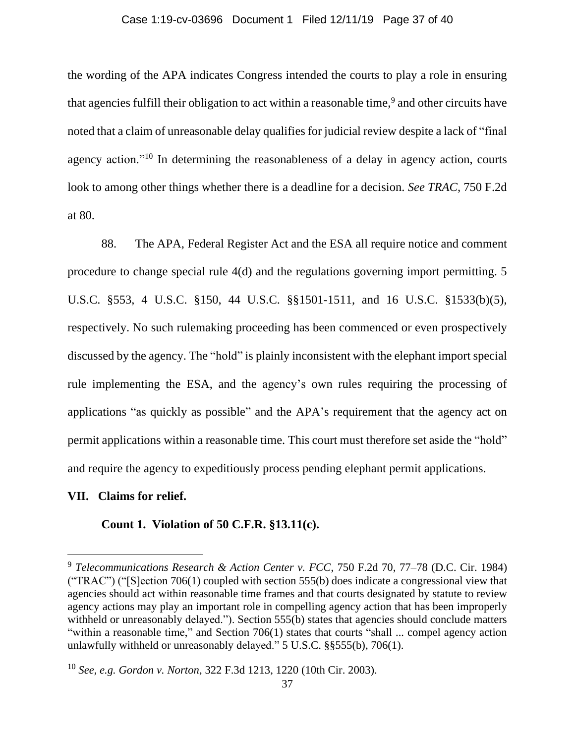#### Case 1:19-cv-03696 Document 1 Filed 12/11/19 Page 37 of 40

the wording of the APA indicates Congress intended the courts to play a role in ensuring that agencies fulfill their obligation to act within a reasonable time,<sup>9</sup> and other circuits have noted that a claim of unreasonable delay qualifies for judicial review despite a lack of "final agency action."<sup>10</sup> In determining the reasonableness of a delay in agency action, courts look to among other things whether there is a deadline for a decision. *See TRAC,* 750 F.2d at 80.

88. The APA, Federal Register Act and the ESA all require notice and comment procedure to change special rule 4(d) and the regulations governing import permitting. 5 U.S.C. §553, 4 U.S.C. §150, 44 U.S.C. §§1501-1511, and 16 U.S.C. §1533(b)(5), respectively. No such rulemaking proceeding has been commenced or even prospectively discussed by the agency. The "hold" is plainly inconsistent with the elephant import special rule implementing the ESA, and the agency's own rules requiring the processing of applications "as quickly as possible" and the APA's requirement that the agency act on permit applications within a reasonable time. This court must therefore set aside the "hold" and require the agency to expeditiously process pending elephant permit applications.

## **VII. Claims for relief.**

## **Count 1. Violation of 50 C.F.R. §13.11(c).**

<sup>9</sup> *Telecommunications Research & Action Center v. FCC*, 750 F.2d 70, 77–78 (D.C. Cir. 1984) ("TRAC") ("[S]ection 706(1) coupled with section 555(b) does indicate a congressional view that agencies should act within reasonable time frames and that courts designated by statute to review agency actions may play an important role in compelling agency action that has been improperly withheld or unreasonably delayed."). Section 555(b) states that agencies should conclude matters "within a reasonable time," and Section 706(1) states that courts "shall ... compel agency action unlawfully withheld or unreasonably delayed." 5 U.S.C. §§555(b), 706(1).

<sup>10</sup> *See, e.g. Gordon v. Norton*, 322 F.3d 1213, 1220 (10th Cir. 2003).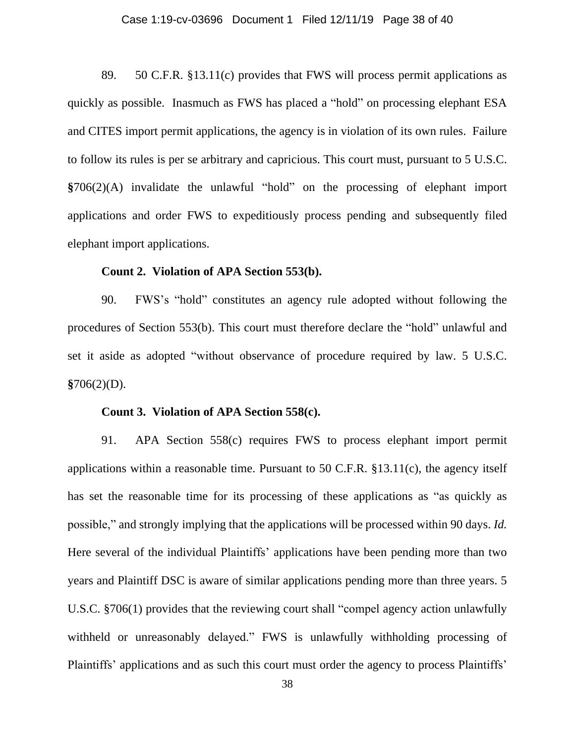### Case 1:19-cv-03696 Document 1 Filed 12/11/19 Page 38 of 40

89. 50 C.F.R. §13.11(c) provides that FWS will process permit applications as quickly as possible. Inasmuch as FWS has placed a "hold" on processing elephant ESA and CITES import permit applications, the agency is in violation of its own rules. Failure to follow its rules is per se arbitrary and capricious. This court must, pursuant to 5 U.S.C. **§**706(2)(A) invalidate the unlawful "hold" on the processing of elephant import applications and order FWS to expeditiously process pending and subsequently filed elephant import applications.

### **Count 2. Violation of APA Section 553(b).**

90. FWS's "hold" constitutes an agency rule adopted without following the procedures of Section 553(b). This court must therefore declare the "hold" unlawful and set it aside as adopted "without observance of procedure required by law. 5 U.S.C. **§**706(2)(D).

### **Count 3. Violation of APA Section 558(c).**

91. APA Section 558(c) requires FWS to process elephant import permit applications within a reasonable time. Pursuant to 50 C.F.R. §13.11(c), the agency itself has set the reasonable time for its processing of these applications as "as quickly as possible," and strongly implying that the applications will be processed within 90 days. *Id.* Here several of the individual Plaintiffs' applications have been pending more than two years and Plaintiff DSC is aware of similar applications pending more than three years. 5 U.S.C. §706(1) provides that the reviewing court shall "compel agency action unlawfully withheld or unreasonably delayed." FWS is unlawfully withholding processing of Plaintiffs' applications and as such this court must order the agency to process Plaintiffs'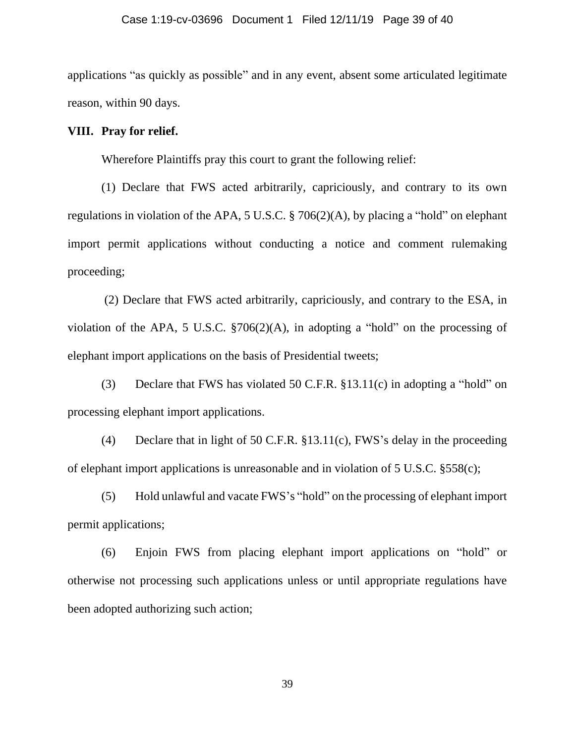applications "as quickly as possible" and in any event, absent some articulated legitimate reason, within 90 days.

## **VIII. Pray for relief.**

Wherefore Plaintiffs pray this court to grant the following relief:

(1) Declare that FWS acted arbitrarily, capriciously, and contrary to its own regulations in violation of the APA, 5 U.S.C. § 706(2)(A), by placing a "hold" on elephant import permit applications without conducting a notice and comment rulemaking proceeding;

(2) Declare that FWS acted arbitrarily, capriciously, and contrary to the ESA, in violation of the APA, 5 U.S.C. §706(2)(A), in adopting a "hold" on the processing of elephant import applications on the basis of Presidential tweets;

(3) Declare that FWS has violated 50 C.F.R. §13.11(c) in adopting a "hold" on processing elephant import applications.

(4) Declare that in light of 50 C.F.R. §13.11(c), FWS's delay in the proceeding of elephant import applications is unreasonable and in violation of 5 U.S.C. §558(c);

(5) Hold unlawful and vacate FWS's "hold" on the processing of elephant import permit applications;

(6) Enjoin FWS from placing elephant import applications on "hold" or otherwise not processing such applications unless or until appropriate regulations have been adopted authorizing such action;